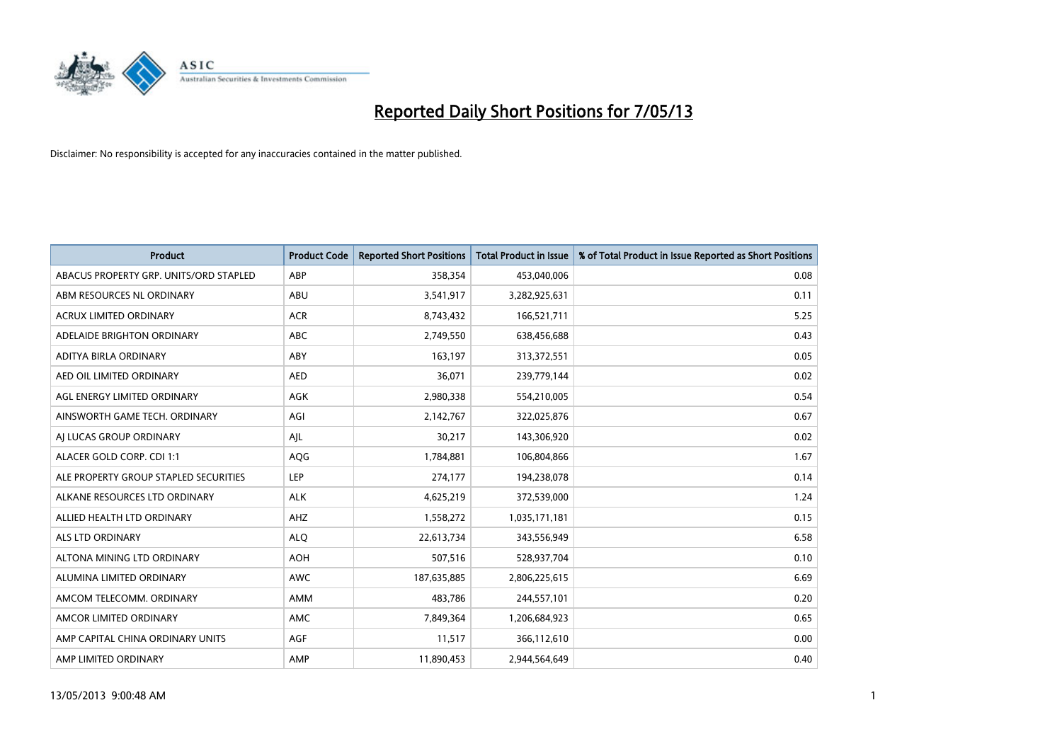

| <b>Product</b>                         | <b>Product Code</b> | <b>Reported Short Positions</b> | <b>Total Product in Issue</b> | % of Total Product in Issue Reported as Short Positions |
|----------------------------------------|---------------------|---------------------------------|-------------------------------|---------------------------------------------------------|
| ABACUS PROPERTY GRP. UNITS/ORD STAPLED | ABP                 | 358,354                         | 453,040,006                   | 0.08                                                    |
| ABM RESOURCES NL ORDINARY              | ABU                 | 3,541,917                       | 3,282,925,631                 | 0.11                                                    |
| <b>ACRUX LIMITED ORDINARY</b>          | <b>ACR</b>          | 8,743,432                       | 166,521,711                   | 5.25                                                    |
| ADELAIDE BRIGHTON ORDINARY             | <b>ABC</b>          | 2,749,550                       | 638,456,688                   | 0.43                                                    |
| ADITYA BIRLA ORDINARY                  | ABY                 | 163,197                         | 313,372,551                   | 0.05                                                    |
| AED OIL LIMITED ORDINARY               | <b>AED</b>          | 36,071                          | 239,779,144                   | 0.02                                                    |
| AGL ENERGY LIMITED ORDINARY            | AGK                 | 2,980,338                       | 554,210,005                   | 0.54                                                    |
| AINSWORTH GAME TECH. ORDINARY          | AGI                 | 2,142,767                       | 322,025,876                   | 0.67                                                    |
| AI LUCAS GROUP ORDINARY                | AJL                 | 30,217                          | 143,306,920                   | 0.02                                                    |
| ALACER GOLD CORP. CDI 1:1              | AQG                 | 1,784,881                       | 106,804,866                   | 1.67                                                    |
| ALE PROPERTY GROUP STAPLED SECURITIES  | <b>LEP</b>          | 274,177                         | 194,238,078                   | 0.14                                                    |
| ALKANE RESOURCES LTD ORDINARY          | <b>ALK</b>          | 4,625,219                       | 372,539,000                   | 1.24                                                    |
| ALLIED HEALTH LTD ORDINARY             | AHZ                 | 1,558,272                       | 1,035,171,181                 | 0.15                                                    |
| ALS LTD ORDINARY                       | <b>ALO</b>          | 22,613,734                      | 343,556,949                   | 6.58                                                    |
| ALTONA MINING LTD ORDINARY             | <b>AOH</b>          | 507,516                         | 528,937,704                   | 0.10                                                    |
| ALUMINA LIMITED ORDINARY               | AWC                 | 187,635,885                     | 2,806,225,615                 | 6.69                                                    |
| AMCOM TELECOMM. ORDINARY               | AMM                 | 483,786                         | 244,557,101                   | 0.20                                                    |
| AMCOR LIMITED ORDINARY                 | <b>AMC</b>          | 7,849,364                       | 1,206,684,923                 | 0.65                                                    |
| AMP CAPITAL CHINA ORDINARY UNITS       | AGF                 | 11,517                          | 366,112,610                   | 0.00                                                    |
| AMP LIMITED ORDINARY                   | AMP                 | 11,890,453                      | 2,944,564,649                 | 0.40                                                    |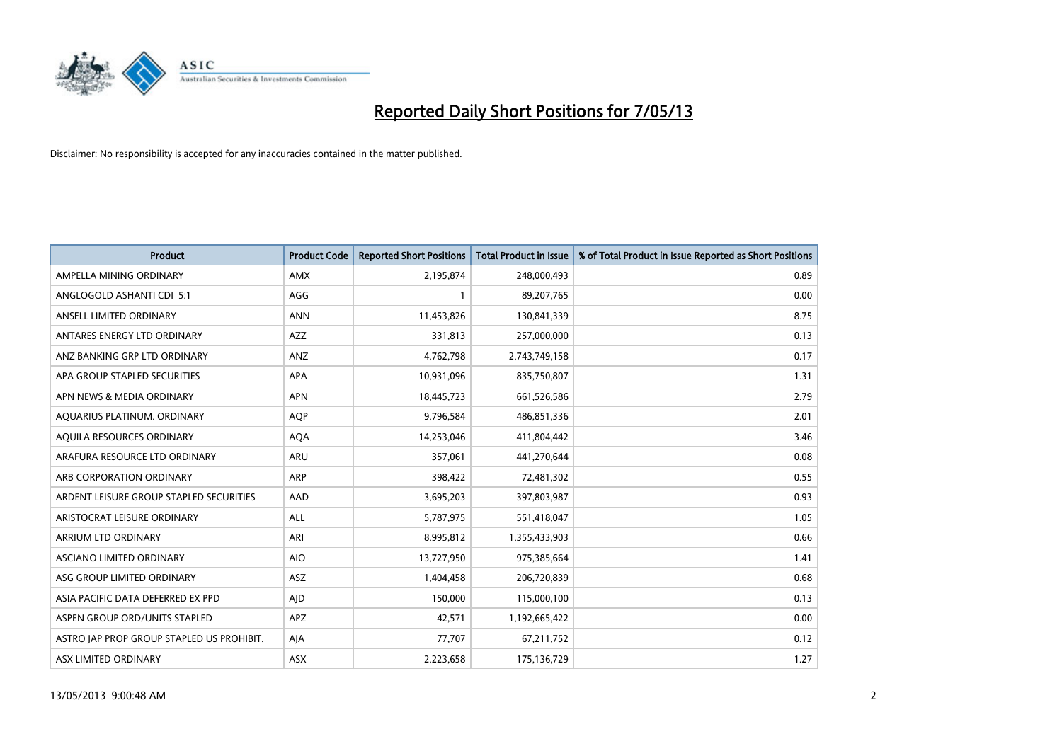

| <b>Product</b>                            | <b>Product Code</b> | <b>Reported Short Positions</b> | <b>Total Product in Issue</b> | % of Total Product in Issue Reported as Short Positions |
|-------------------------------------------|---------------------|---------------------------------|-------------------------------|---------------------------------------------------------|
| AMPELLA MINING ORDINARY                   | AMX                 | 2,195,874                       | 248,000,493                   | 0.89                                                    |
| ANGLOGOLD ASHANTI CDI 5:1                 | AGG                 |                                 | 89,207,765                    | 0.00                                                    |
| ANSELL LIMITED ORDINARY                   | <b>ANN</b>          | 11,453,826                      | 130,841,339                   | 8.75                                                    |
| ANTARES ENERGY LTD ORDINARY               | AZZ                 | 331,813                         | 257,000,000                   | 0.13                                                    |
| ANZ BANKING GRP LTD ORDINARY              | ANZ                 | 4,762,798                       | 2,743,749,158                 | 0.17                                                    |
| APA GROUP STAPLED SECURITIES              | APA                 | 10,931,096                      | 835,750,807                   | 1.31                                                    |
| APN NEWS & MEDIA ORDINARY                 | <b>APN</b>          | 18,445,723                      | 661,526,586                   | 2.79                                                    |
| AQUARIUS PLATINUM. ORDINARY               | AQP                 | 9,796,584                       | 486,851,336                   | 2.01                                                    |
| AQUILA RESOURCES ORDINARY                 | <b>AQA</b>          | 14,253,046                      | 411,804,442                   | 3.46                                                    |
| ARAFURA RESOURCE LTD ORDINARY             | <b>ARU</b>          | 357,061                         | 441,270,644                   | 0.08                                                    |
| ARB CORPORATION ORDINARY                  | <b>ARP</b>          | 398,422                         | 72,481,302                    | 0.55                                                    |
| ARDENT LEISURE GROUP STAPLED SECURITIES   | AAD                 | 3,695,203                       | 397,803,987                   | 0.93                                                    |
| ARISTOCRAT LEISURE ORDINARY               | ALL                 | 5,787,975                       | 551,418,047                   | 1.05                                                    |
| ARRIUM LTD ORDINARY                       | ARI                 | 8,995,812                       | 1,355,433,903                 | 0.66                                                    |
| ASCIANO LIMITED ORDINARY                  | <b>AIO</b>          | 13,727,950                      | 975,385,664                   | 1.41                                                    |
| ASG GROUP LIMITED ORDINARY                | ASZ                 | 1,404,458                       | 206,720,839                   | 0.68                                                    |
| ASIA PACIFIC DATA DEFERRED EX PPD         | AJD                 | 150,000                         | 115,000,100                   | 0.13                                                    |
| ASPEN GROUP ORD/UNITS STAPLED             | APZ                 | 42,571                          | 1,192,665,422                 | 0.00                                                    |
| ASTRO JAP PROP GROUP STAPLED US PROHIBIT. | AJA                 | 77,707                          | 67,211,752                    | 0.12                                                    |
| ASX LIMITED ORDINARY                      | ASX                 | 2,223,658                       | 175,136,729                   | 1.27                                                    |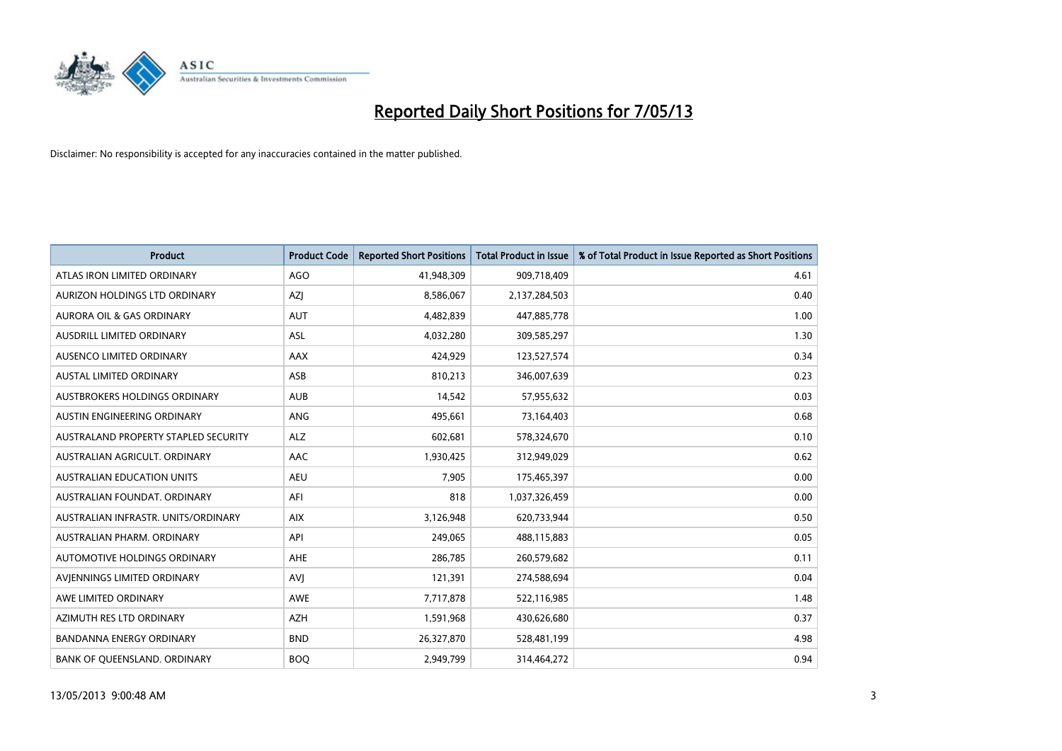

| <b>Product</b>                       | <b>Product Code</b> | <b>Reported Short Positions</b> | <b>Total Product in Issue</b> | % of Total Product in Issue Reported as Short Positions |
|--------------------------------------|---------------------|---------------------------------|-------------------------------|---------------------------------------------------------|
| ATLAS IRON LIMITED ORDINARY          | <b>AGO</b>          | 41,948,309                      | 909,718,409                   | 4.61                                                    |
| AURIZON HOLDINGS LTD ORDINARY        | AZJ                 | 8,586,067                       | 2,137,284,503                 | 0.40                                                    |
| <b>AURORA OIL &amp; GAS ORDINARY</b> | <b>AUT</b>          | 4,482,839                       | 447,885,778                   | 1.00                                                    |
| AUSDRILL LIMITED ORDINARY            | ASL                 | 4,032,280                       | 309,585,297                   | 1.30                                                    |
| AUSENCO LIMITED ORDINARY             | AAX                 | 424,929                         | 123,527,574                   | 0.34                                                    |
| <b>AUSTAL LIMITED ORDINARY</b>       | ASB                 | 810,213                         | 346,007,639                   | 0.23                                                    |
| AUSTBROKERS HOLDINGS ORDINARY        | <b>AUB</b>          | 14,542                          | 57,955,632                    | 0.03                                                    |
| AUSTIN ENGINEERING ORDINARY          | ANG                 | 495,661                         | 73,164,403                    | 0.68                                                    |
| AUSTRALAND PROPERTY STAPLED SECURITY | <b>ALZ</b>          | 602,681                         | 578,324,670                   | 0.10                                                    |
| AUSTRALIAN AGRICULT, ORDINARY        | AAC                 | 1,930,425                       | 312,949,029                   | 0.62                                                    |
| AUSTRALIAN EDUCATION UNITS           | <b>AEU</b>          | 7,905                           | 175,465,397                   | 0.00                                                    |
| AUSTRALIAN FOUNDAT. ORDINARY         | AFI                 | 818                             | 1,037,326,459                 | 0.00                                                    |
| AUSTRALIAN INFRASTR, UNITS/ORDINARY  | <b>AIX</b>          | 3,126,948                       | 620,733,944                   | 0.50                                                    |
| AUSTRALIAN PHARM, ORDINARY           | API                 | 249,065                         | 488,115,883                   | 0.05                                                    |
| <b>AUTOMOTIVE HOLDINGS ORDINARY</b>  | AHE                 | 286,785                         | 260,579,682                   | 0.11                                                    |
| AVIENNINGS LIMITED ORDINARY          | AVI                 | 121,391                         | 274,588,694                   | 0.04                                                    |
| AWE LIMITED ORDINARY                 | AWE                 | 7,717,878                       | 522,116,985                   | 1.48                                                    |
| AZIMUTH RES LTD ORDINARY             | <b>AZH</b>          | 1,591,968                       | 430,626,680                   | 0.37                                                    |
| <b>BANDANNA ENERGY ORDINARY</b>      | <b>BND</b>          | 26,327,870                      | 528,481,199                   | 4.98                                                    |
| BANK OF QUEENSLAND. ORDINARY         | <b>BOQ</b>          | 2,949,799                       | 314,464,272                   | 0.94                                                    |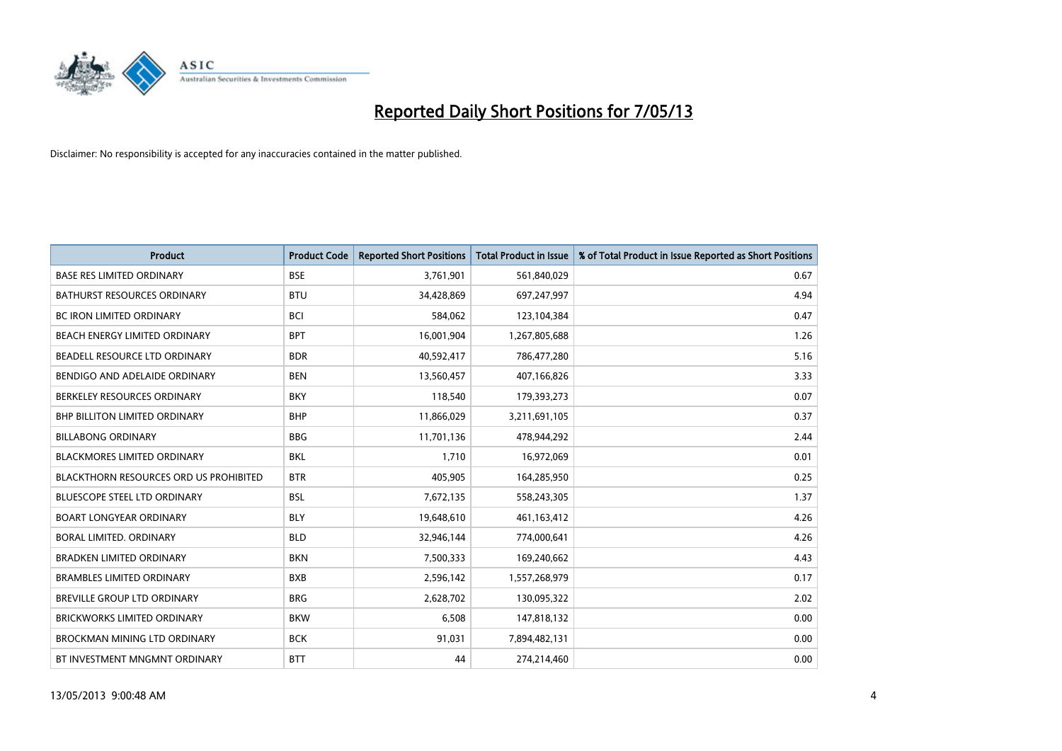

| <b>Product</b>                         | <b>Product Code</b> | <b>Reported Short Positions</b> | <b>Total Product in Issue</b> | % of Total Product in Issue Reported as Short Positions |
|----------------------------------------|---------------------|---------------------------------|-------------------------------|---------------------------------------------------------|
| <b>BASE RES LIMITED ORDINARY</b>       | <b>BSE</b>          | 3,761,901                       | 561,840,029                   | 0.67                                                    |
| <b>BATHURST RESOURCES ORDINARY</b>     | <b>BTU</b>          | 34,428,869                      | 697,247,997                   | 4.94                                                    |
| <b>BC IRON LIMITED ORDINARY</b>        | <b>BCI</b>          | 584,062                         | 123,104,384                   | 0.47                                                    |
| BEACH ENERGY LIMITED ORDINARY          | <b>BPT</b>          | 16,001,904                      | 1,267,805,688                 | 1.26                                                    |
| BEADELL RESOURCE LTD ORDINARY          | <b>BDR</b>          | 40,592,417                      | 786,477,280                   | 5.16                                                    |
| BENDIGO AND ADELAIDE ORDINARY          | <b>BEN</b>          | 13,560,457                      | 407,166,826                   | 3.33                                                    |
| BERKELEY RESOURCES ORDINARY            | <b>BKY</b>          | 118,540                         | 179,393,273                   | 0.07                                                    |
| <b>BHP BILLITON LIMITED ORDINARY</b>   | <b>BHP</b>          | 11,866,029                      | 3,211,691,105                 | 0.37                                                    |
| <b>BILLABONG ORDINARY</b>              | <b>BBG</b>          | 11,701,136                      | 478,944,292                   | 2.44                                                    |
| <b>BLACKMORES LIMITED ORDINARY</b>     | <b>BKL</b>          | 1,710                           | 16,972,069                    | 0.01                                                    |
| BLACKTHORN RESOURCES ORD US PROHIBITED | <b>BTR</b>          | 405,905                         | 164,285,950                   | 0.25                                                    |
| <b>BLUESCOPE STEEL LTD ORDINARY</b>    | <b>BSL</b>          | 7,672,135                       | 558,243,305                   | 1.37                                                    |
| <b>BOART LONGYEAR ORDINARY</b>         | <b>BLY</b>          | 19,648,610                      | 461,163,412                   | 4.26                                                    |
| <b>BORAL LIMITED, ORDINARY</b>         | <b>BLD</b>          | 32,946,144                      | 774,000,641                   | 4.26                                                    |
| <b>BRADKEN LIMITED ORDINARY</b>        | <b>BKN</b>          | 7,500,333                       | 169,240,662                   | 4.43                                                    |
| <b>BRAMBLES LIMITED ORDINARY</b>       | <b>BXB</b>          | 2,596,142                       | 1,557,268,979                 | 0.17                                                    |
| BREVILLE GROUP LTD ORDINARY            | <b>BRG</b>          | 2,628,702                       | 130,095,322                   | 2.02                                                    |
| <b>BRICKWORKS LIMITED ORDINARY</b>     | <b>BKW</b>          | 6,508                           | 147,818,132                   | 0.00                                                    |
| <b>BROCKMAN MINING LTD ORDINARY</b>    | <b>BCK</b>          | 91,031                          | 7,894,482,131                 | 0.00                                                    |
| BT INVESTMENT MNGMNT ORDINARY          | <b>BTT</b>          | 44                              | 274,214,460                   | 0.00                                                    |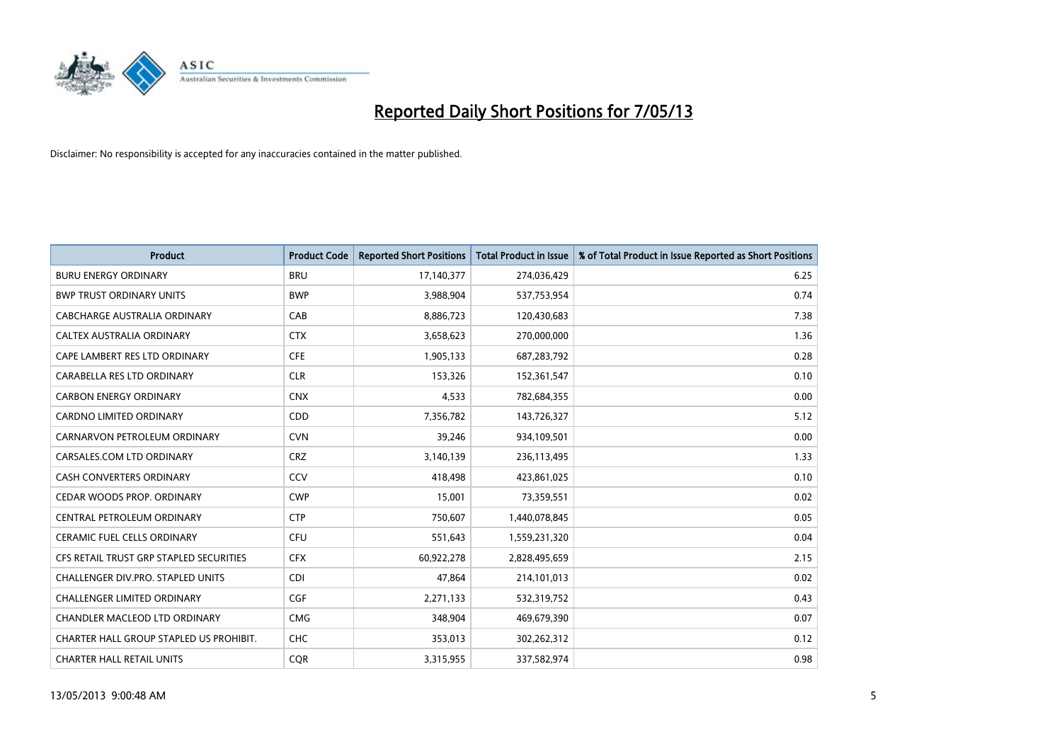

| <b>Product</b>                          | <b>Product Code</b> | <b>Reported Short Positions</b> | <b>Total Product in Issue</b> | % of Total Product in Issue Reported as Short Positions |
|-----------------------------------------|---------------------|---------------------------------|-------------------------------|---------------------------------------------------------|
| <b>BURU ENERGY ORDINARY</b>             | <b>BRU</b>          | 17,140,377                      | 274,036,429                   | 6.25                                                    |
| <b>BWP TRUST ORDINARY UNITS</b>         | <b>BWP</b>          | 3,988,904                       | 537,753,954                   | 0.74                                                    |
| CABCHARGE AUSTRALIA ORDINARY            | CAB                 | 8,886,723                       | 120,430,683                   | 7.38                                                    |
| CALTEX AUSTRALIA ORDINARY               | <b>CTX</b>          | 3,658,623                       | 270,000,000                   | 1.36                                                    |
| CAPE LAMBERT RES LTD ORDINARY           | <b>CFE</b>          | 1,905,133                       | 687,283,792                   | 0.28                                                    |
| CARABELLA RES LTD ORDINARY              | <b>CLR</b>          | 153,326                         | 152,361,547                   | 0.10                                                    |
| <b>CARBON ENERGY ORDINARY</b>           | <b>CNX</b>          | 4,533                           | 782,684,355                   | 0.00                                                    |
| CARDNO LIMITED ORDINARY                 | CDD                 | 7,356,782                       | 143,726,327                   | 5.12                                                    |
| CARNARVON PETROLEUM ORDINARY            | <b>CVN</b>          | 39,246                          | 934,109,501                   | 0.00                                                    |
| CARSALES.COM LTD ORDINARY               | <b>CRZ</b>          | 3,140,139                       | 236,113,495                   | 1.33                                                    |
| CASH CONVERTERS ORDINARY                | CCV                 | 418,498                         | 423,861,025                   | 0.10                                                    |
| CEDAR WOODS PROP. ORDINARY              | <b>CWP</b>          | 15,001                          | 73,359,551                    | 0.02                                                    |
| CENTRAL PETROLEUM ORDINARY              | <b>CTP</b>          | 750,607                         | 1,440,078,845                 | 0.05                                                    |
| <b>CERAMIC FUEL CELLS ORDINARY</b>      | <b>CFU</b>          | 551,643                         | 1,559,231,320                 | 0.04                                                    |
| CFS RETAIL TRUST GRP STAPLED SECURITIES | <b>CFX</b>          | 60,922,278                      | 2,828,495,659                 | 2.15                                                    |
| CHALLENGER DIV.PRO. STAPLED UNITS       | <b>CDI</b>          | 47,864                          | 214,101,013                   | 0.02                                                    |
| CHALLENGER LIMITED ORDINARY             | <b>CGF</b>          | 2,271,133                       | 532,319,752                   | 0.43                                                    |
| CHANDLER MACLEOD LTD ORDINARY           | <b>CMG</b>          | 348,904                         | 469,679,390                   | 0.07                                                    |
| CHARTER HALL GROUP STAPLED US PROHIBIT. | <b>CHC</b>          | 353,013                         | 302,262,312                   | 0.12                                                    |
| <b>CHARTER HALL RETAIL UNITS</b>        | <b>COR</b>          | 3,315,955                       | 337,582,974                   | 0.98                                                    |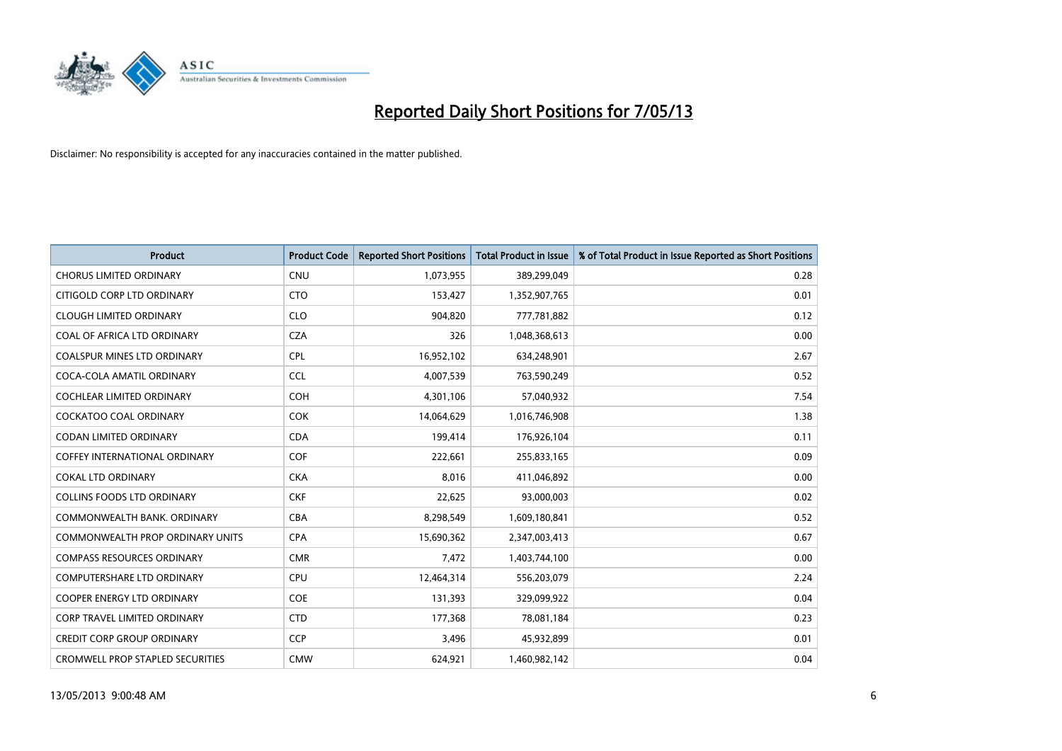

| <b>Product</b>                          | <b>Product Code</b> | <b>Reported Short Positions</b> | <b>Total Product in Issue</b> | % of Total Product in Issue Reported as Short Positions |
|-----------------------------------------|---------------------|---------------------------------|-------------------------------|---------------------------------------------------------|
| <b>CHORUS LIMITED ORDINARY</b>          | <b>CNU</b>          | 1,073,955                       | 389,299,049                   | 0.28                                                    |
| CITIGOLD CORP LTD ORDINARY              | <b>CTO</b>          | 153,427                         | 1,352,907,765                 | 0.01                                                    |
| <b>CLOUGH LIMITED ORDINARY</b>          | <b>CLO</b>          | 904,820                         | 777,781,882                   | 0.12                                                    |
| COAL OF AFRICA LTD ORDINARY             | <b>CZA</b>          | 326                             | 1,048,368,613                 | 0.00                                                    |
| <b>COALSPUR MINES LTD ORDINARY</b>      | <b>CPL</b>          | 16,952,102                      | 634,248,901                   | 2.67                                                    |
| COCA-COLA AMATIL ORDINARY               | <b>CCL</b>          | 4,007,539                       | 763,590,249                   | 0.52                                                    |
| <b>COCHLEAR LIMITED ORDINARY</b>        | <b>COH</b>          | 4,301,106                       | 57,040,932                    | 7.54                                                    |
| <b>COCKATOO COAL ORDINARY</b>           | <b>COK</b>          | 14,064,629                      | 1,016,746,908                 | 1.38                                                    |
| CODAN LIMITED ORDINARY                  | <b>CDA</b>          | 199,414                         | 176,926,104                   | 0.11                                                    |
| COFFEY INTERNATIONAL ORDINARY           | <b>COF</b>          | 222,661                         | 255,833,165                   | 0.09                                                    |
| <b>COKAL LTD ORDINARY</b>               | <b>CKA</b>          | 8,016                           | 411,046,892                   | 0.00                                                    |
| <b>COLLINS FOODS LTD ORDINARY</b>       | <b>CKF</b>          | 22,625                          | 93,000,003                    | 0.02                                                    |
| COMMONWEALTH BANK, ORDINARY             | <b>CBA</b>          | 8,298,549                       | 1,609,180,841                 | 0.52                                                    |
| <b>COMMONWEALTH PROP ORDINARY UNITS</b> | <b>CPA</b>          | 15,690,362                      | 2,347,003,413                 | 0.67                                                    |
| <b>COMPASS RESOURCES ORDINARY</b>       | <b>CMR</b>          | 7,472                           | 1,403,744,100                 | 0.00                                                    |
| COMPUTERSHARE LTD ORDINARY              | <b>CPU</b>          | 12,464,314                      | 556,203,079                   | 2.24                                                    |
| <b>COOPER ENERGY LTD ORDINARY</b>       | <b>COE</b>          | 131,393                         | 329,099,922                   | 0.04                                                    |
| <b>CORP TRAVEL LIMITED ORDINARY</b>     | <b>CTD</b>          | 177,368                         | 78,081,184                    | 0.23                                                    |
| <b>CREDIT CORP GROUP ORDINARY</b>       | CCP                 | 3,496                           | 45,932,899                    | 0.01                                                    |
| <b>CROMWELL PROP STAPLED SECURITIES</b> | <b>CMW</b>          | 624,921                         | 1,460,982,142                 | 0.04                                                    |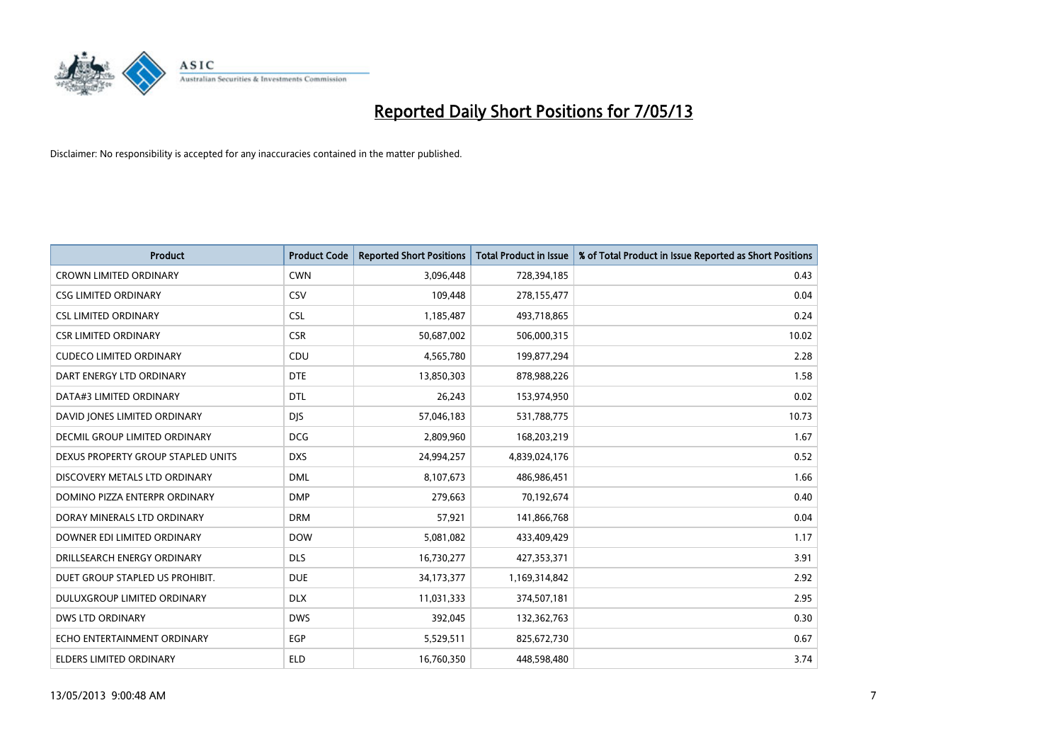

| <b>Product</b>                     | <b>Product Code</b> | <b>Reported Short Positions</b> | <b>Total Product in Issue</b> | % of Total Product in Issue Reported as Short Positions |
|------------------------------------|---------------------|---------------------------------|-------------------------------|---------------------------------------------------------|
| <b>CROWN LIMITED ORDINARY</b>      | <b>CWN</b>          | 3,096,448                       | 728,394,185                   | 0.43                                                    |
| <b>CSG LIMITED ORDINARY</b>        | CSV                 | 109,448                         | 278,155,477                   | 0.04                                                    |
| <b>CSL LIMITED ORDINARY</b>        | <b>CSL</b>          | 1,185,487                       | 493,718,865                   | 0.24                                                    |
| <b>CSR LIMITED ORDINARY</b>        | <b>CSR</b>          | 50,687,002                      | 506,000,315                   | 10.02                                                   |
| <b>CUDECO LIMITED ORDINARY</b>     | CDU                 | 4,565,780                       | 199,877,294                   | 2.28                                                    |
| DART ENERGY LTD ORDINARY           | <b>DTE</b>          | 13,850,303                      | 878,988,226                   | 1.58                                                    |
| DATA#3 LIMITED ORDINARY            | <b>DTL</b>          | 26,243                          | 153,974,950                   | 0.02                                                    |
| DAVID JONES LIMITED ORDINARY       | <b>DJS</b>          | 57,046,183                      | 531,788,775                   | 10.73                                                   |
| DECMIL GROUP LIMITED ORDINARY      | <b>DCG</b>          | 2,809,960                       | 168,203,219                   | 1.67                                                    |
| DEXUS PROPERTY GROUP STAPLED UNITS | <b>DXS</b>          | 24,994,257                      | 4,839,024,176                 | 0.52                                                    |
| DISCOVERY METALS LTD ORDINARY      | <b>DML</b>          | 8,107,673                       | 486,986,451                   | 1.66                                                    |
| DOMINO PIZZA ENTERPR ORDINARY      | <b>DMP</b>          | 279,663                         | 70,192,674                    | 0.40                                                    |
| DORAY MINERALS LTD ORDINARY        | <b>DRM</b>          | 57,921                          | 141,866,768                   | 0.04                                                    |
| DOWNER EDI LIMITED ORDINARY        | <b>DOW</b>          | 5,081,082                       | 433,409,429                   | 1.17                                                    |
| DRILLSEARCH ENERGY ORDINARY        | <b>DLS</b>          | 16,730,277                      | 427,353,371                   | 3.91                                                    |
| DUET GROUP STAPLED US PROHIBIT.    | <b>DUE</b>          | 34,173,377                      | 1,169,314,842                 | 2.92                                                    |
| DULUXGROUP LIMITED ORDINARY        | <b>DLX</b>          | 11,031,333                      | 374,507,181                   | 2.95                                                    |
| <b>DWS LTD ORDINARY</b>            | <b>DWS</b>          | 392,045                         | 132,362,763                   | 0.30                                                    |
| ECHO ENTERTAINMENT ORDINARY        | <b>EGP</b>          | 5,529,511                       | 825,672,730                   | 0.67                                                    |
| ELDERS LIMITED ORDINARY            | <b>ELD</b>          | 16,760,350                      | 448,598,480                   | 3.74                                                    |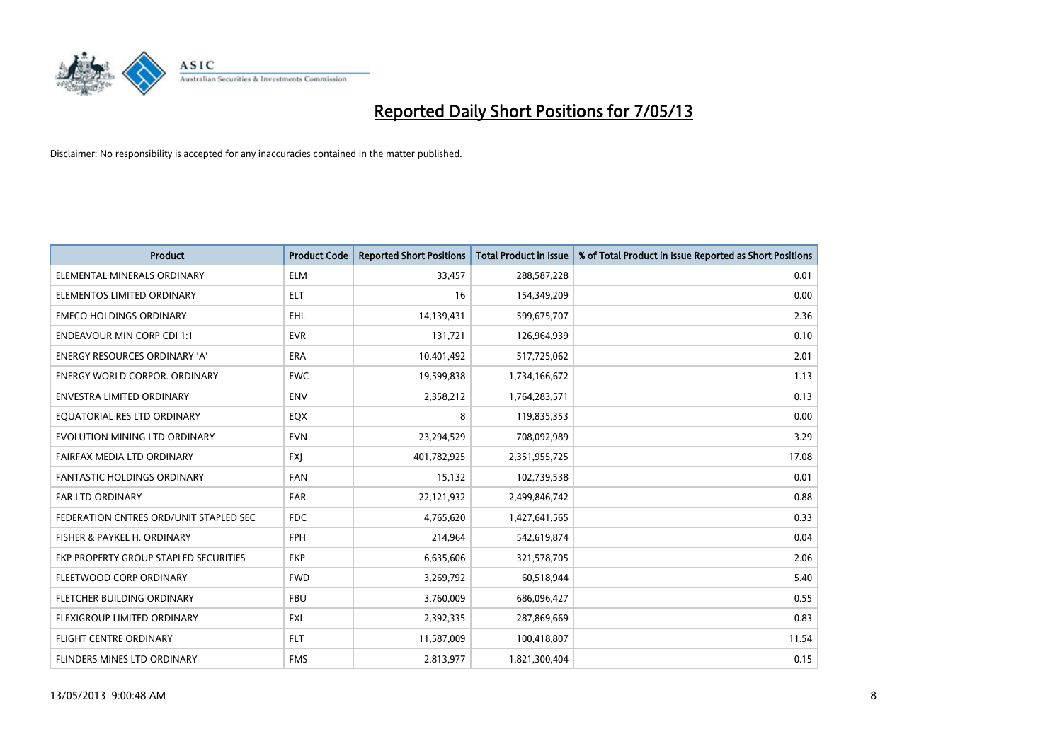

| <b>Product</b>                         | <b>Product Code</b> | <b>Reported Short Positions</b> | <b>Total Product in Issue</b> | % of Total Product in Issue Reported as Short Positions |
|----------------------------------------|---------------------|---------------------------------|-------------------------------|---------------------------------------------------------|
| ELEMENTAL MINERALS ORDINARY            | <b>ELM</b>          | 33,457                          | 288,587,228                   | 0.01                                                    |
| ELEMENTOS LIMITED ORDINARY             | ELT                 | 16                              | 154,349,209                   | 0.00                                                    |
| <b>EMECO HOLDINGS ORDINARY</b>         | <b>EHL</b>          | 14,139,431                      | 599,675,707                   | 2.36                                                    |
| <b>ENDEAVOUR MIN CORP CDI 1:1</b>      | <b>EVR</b>          | 131,721                         | 126,964,939                   | 0.10                                                    |
| <b>ENERGY RESOURCES ORDINARY 'A'</b>   | <b>ERA</b>          | 10,401,492                      | 517,725,062                   | 2.01                                                    |
| <b>ENERGY WORLD CORPOR, ORDINARY</b>   | <b>EWC</b>          | 19,599,838                      | 1,734,166,672                 | 1.13                                                    |
| ENVESTRA LIMITED ORDINARY              | <b>ENV</b>          | 2,358,212                       | 1,764,283,571                 | 0.13                                                    |
| EQUATORIAL RES LTD ORDINARY            | EQX                 | 8                               | 119,835,353                   | 0.00                                                    |
| EVOLUTION MINING LTD ORDINARY          | <b>EVN</b>          | 23,294,529                      | 708,092,989                   | 3.29                                                    |
| FAIRFAX MEDIA LTD ORDINARY             | <b>FXI</b>          | 401,782,925                     | 2,351,955,725                 | 17.08                                                   |
| FANTASTIC HOLDINGS ORDINARY            | <b>FAN</b>          | 15,132                          | 102,739,538                   | 0.01                                                    |
| <b>FAR LTD ORDINARY</b>                | <b>FAR</b>          | 22,121,932                      | 2,499,846,742                 | 0.88                                                    |
| FEDERATION CNTRES ORD/UNIT STAPLED SEC | <b>FDC</b>          | 4,765,620                       | 1,427,641,565                 | 0.33                                                    |
| FISHER & PAYKEL H. ORDINARY            | <b>FPH</b>          | 214,964                         | 542,619,874                   | 0.04                                                    |
| FKP PROPERTY GROUP STAPLED SECURITIES  | <b>FKP</b>          | 6,635,606                       | 321,578,705                   | 2.06                                                    |
| FLEETWOOD CORP ORDINARY                | <b>FWD</b>          | 3,269,792                       | 60,518,944                    | 5.40                                                    |
| FLETCHER BUILDING ORDINARY             | <b>FBU</b>          | 3,760,009                       | 686,096,427                   | 0.55                                                    |
| FLEXIGROUP LIMITED ORDINARY            | FXL                 | 2,392,335                       | 287,869,669                   | 0.83                                                    |
| <b>FLIGHT CENTRE ORDINARY</b>          | <b>FLT</b>          | 11,587,009                      | 100,418,807                   | 11.54                                                   |
| FLINDERS MINES LTD ORDINARY            | <b>FMS</b>          | 2,813,977                       | 1,821,300,404                 | 0.15                                                    |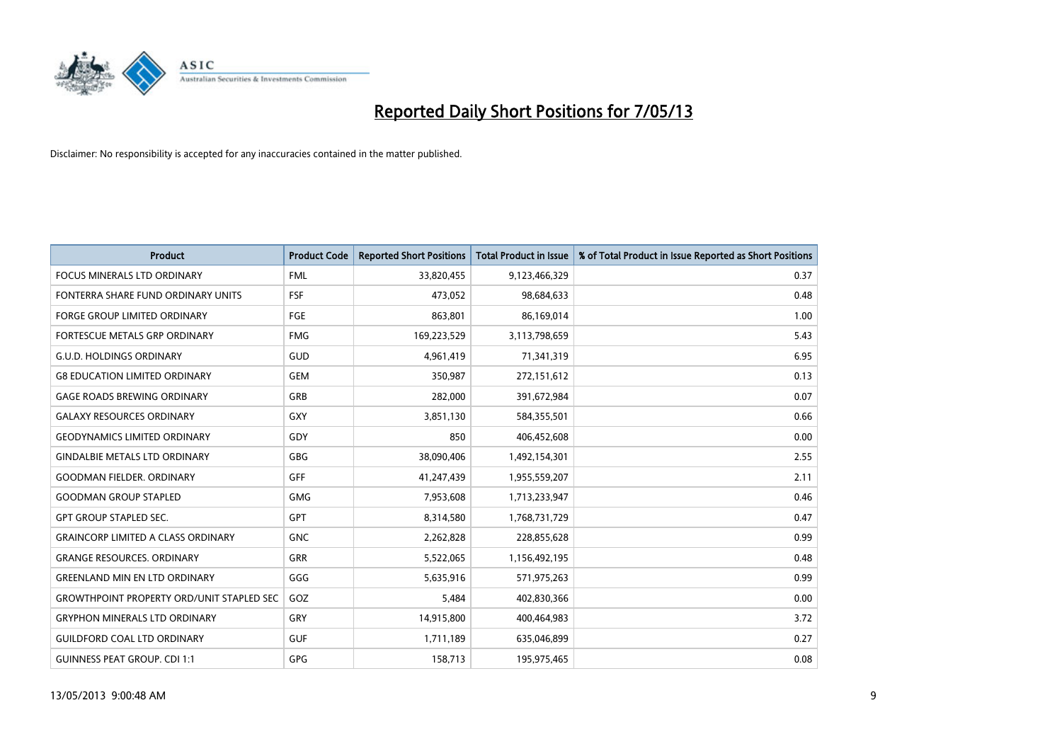

| <b>Product</b>                                   | <b>Product Code</b> | <b>Reported Short Positions</b> | <b>Total Product in Issue</b> | % of Total Product in Issue Reported as Short Positions |
|--------------------------------------------------|---------------------|---------------------------------|-------------------------------|---------------------------------------------------------|
| <b>FOCUS MINERALS LTD ORDINARY</b>               | <b>FML</b>          | 33,820,455                      | 9,123,466,329                 | 0.37                                                    |
| FONTERRA SHARE FUND ORDINARY UNITS               | FSF                 | 473,052                         | 98,684,633                    | 0.48                                                    |
| <b>FORGE GROUP LIMITED ORDINARY</b>              | FGE                 | 863,801                         | 86,169,014                    | 1.00                                                    |
| <b>FORTESCUE METALS GRP ORDINARY</b>             | <b>FMG</b>          | 169,223,529                     | 3,113,798,659                 | 5.43                                                    |
| <b>G.U.D. HOLDINGS ORDINARY</b>                  | GUD                 | 4,961,419                       | 71,341,319                    | 6.95                                                    |
| <b>G8 EDUCATION LIMITED ORDINARY</b>             | <b>GEM</b>          | 350,987                         | 272,151,612                   | 0.13                                                    |
| <b>GAGE ROADS BREWING ORDINARY</b>               | GRB                 | 282,000                         | 391,672,984                   | 0.07                                                    |
| <b>GALAXY RESOURCES ORDINARY</b>                 | <b>GXY</b>          | 3,851,130                       | 584,355,501                   | 0.66                                                    |
| <b>GEODYNAMICS LIMITED ORDINARY</b>              | GDY                 | 850                             | 406,452,608                   | 0.00                                                    |
| <b>GINDALBIE METALS LTD ORDINARY</b>             | <b>GBG</b>          | 38,090,406                      | 1,492,154,301                 | 2.55                                                    |
| <b>GOODMAN FIELDER, ORDINARY</b>                 | <b>GFF</b>          | 41,247,439                      | 1,955,559,207                 | 2.11                                                    |
| <b>GOODMAN GROUP STAPLED</b>                     | <b>GMG</b>          | 7,953,608                       | 1,713,233,947                 | 0.46                                                    |
| <b>GPT GROUP STAPLED SEC.</b>                    | <b>GPT</b>          | 8,314,580                       | 1,768,731,729                 | 0.47                                                    |
| <b>GRAINCORP LIMITED A CLASS ORDINARY</b>        | <b>GNC</b>          | 2,262,828                       | 228,855,628                   | 0.99                                                    |
| <b>GRANGE RESOURCES, ORDINARY</b>                | <b>GRR</b>          | 5,522,065                       | 1,156,492,195                 | 0.48                                                    |
| <b>GREENLAND MIN EN LTD ORDINARY</b>             | GGG                 | 5,635,916                       | 571,975,263                   | 0.99                                                    |
| <b>GROWTHPOINT PROPERTY ORD/UNIT STAPLED SEC</b> | GOZ                 | 5,484                           | 402,830,366                   | 0.00                                                    |
| <b>GRYPHON MINERALS LTD ORDINARY</b>             | GRY                 | 14,915,800                      | 400,464,983                   | 3.72                                                    |
| <b>GUILDFORD COAL LTD ORDINARY</b>               | <b>GUF</b>          | 1,711,189                       | 635,046,899                   | 0.27                                                    |
| <b>GUINNESS PEAT GROUP. CDI 1:1</b>              | <b>GPG</b>          | 158,713                         | 195,975,465                   | 0.08                                                    |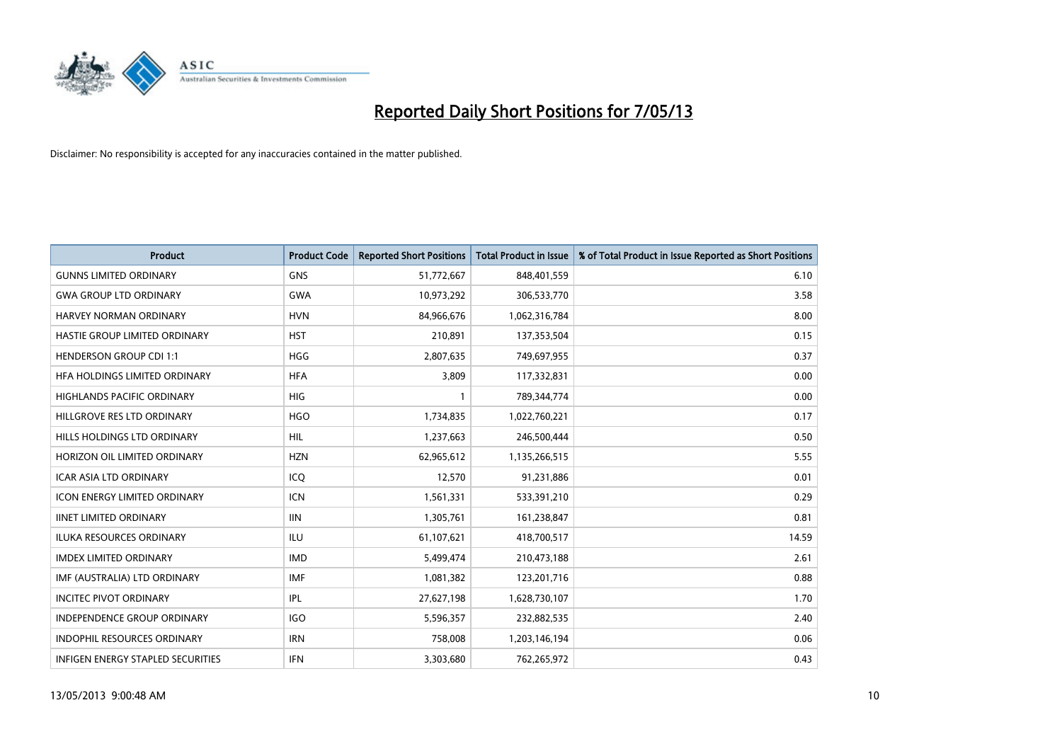

| <b>Product</b>                           | <b>Product Code</b> | <b>Reported Short Positions</b> | <b>Total Product in Issue</b> | % of Total Product in Issue Reported as Short Positions |
|------------------------------------------|---------------------|---------------------------------|-------------------------------|---------------------------------------------------------|
| <b>GUNNS LIMITED ORDINARY</b>            | <b>GNS</b>          | 51,772,667                      | 848,401,559                   | 6.10                                                    |
| <b>GWA GROUP LTD ORDINARY</b>            | <b>GWA</b>          | 10,973,292                      | 306,533,770                   | 3.58                                                    |
| <b>HARVEY NORMAN ORDINARY</b>            | <b>HVN</b>          | 84,966,676                      | 1,062,316,784                 | 8.00                                                    |
| HASTIE GROUP LIMITED ORDINARY            | <b>HST</b>          | 210,891                         | 137,353,504                   | 0.15                                                    |
| <b>HENDERSON GROUP CDI 1:1</b>           | <b>HGG</b>          | 2,807,635                       | 749,697,955                   | 0.37                                                    |
| HEA HOLDINGS LIMITED ORDINARY            | <b>HFA</b>          | 3,809                           | 117,332,831                   | 0.00                                                    |
| <b>HIGHLANDS PACIFIC ORDINARY</b>        | <b>HIG</b>          |                                 | 789,344,774                   | 0.00                                                    |
| HILLGROVE RES LTD ORDINARY               | <b>HGO</b>          | 1,734,835                       | 1,022,760,221                 | 0.17                                                    |
| HILLS HOLDINGS LTD ORDINARY              | <b>HIL</b>          | 1,237,663                       | 246,500,444                   | 0.50                                                    |
| HORIZON OIL LIMITED ORDINARY             | <b>HZN</b>          | 62,965,612                      | 1,135,266,515                 | 5.55                                                    |
| ICAR ASIA LTD ORDINARY                   | ICQ                 | 12,570                          | 91,231,886                    | 0.01                                                    |
| <b>ICON ENERGY LIMITED ORDINARY</b>      | <b>ICN</b>          | 1,561,331                       | 533,391,210                   | 0.29                                                    |
| <b>IINET LIMITED ORDINARY</b>            | <b>IIN</b>          | 1,305,761                       | 161,238,847                   | 0.81                                                    |
| <b>ILUKA RESOURCES ORDINARY</b>          | ILU                 | 61,107,621                      | 418,700,517                   | 14.59                                                   |
| <b>IMDEX LIMITED ORDINARY</b>            | <b>IMD</b>          | 5,499,474                       | 210,473,188                   | 2.61                                                    |
| IMF (AUSTRALIA) LTD ORDINARY             | <b>IMF</b>          | 1,081,382                       | 123,201,716                   | 0.88                                                    |
| <b>INCITEC PIVOT ORDINARY</b>            | IPL                 | 27,627,198                      | 1,628,730,107                 | 1.70                                                    |
| INDEPENDENCE GROUP ORDINARY              | <b>IGO</b>          | 5,596,357                       | 232,882,535                   | 2.40                                                    |
| INDOPHIL RESOURCES ORDINARY              | <b>IRN</b>          | 758,008                         | 1,203,146,194                 | 0.06                                                    |
| <b>INFIGEN ENERGY STAPLED SECURITIES</b> | <b>IFN</b>          | 3,303,680                       | 762,265,972                   | 0.43                                                    |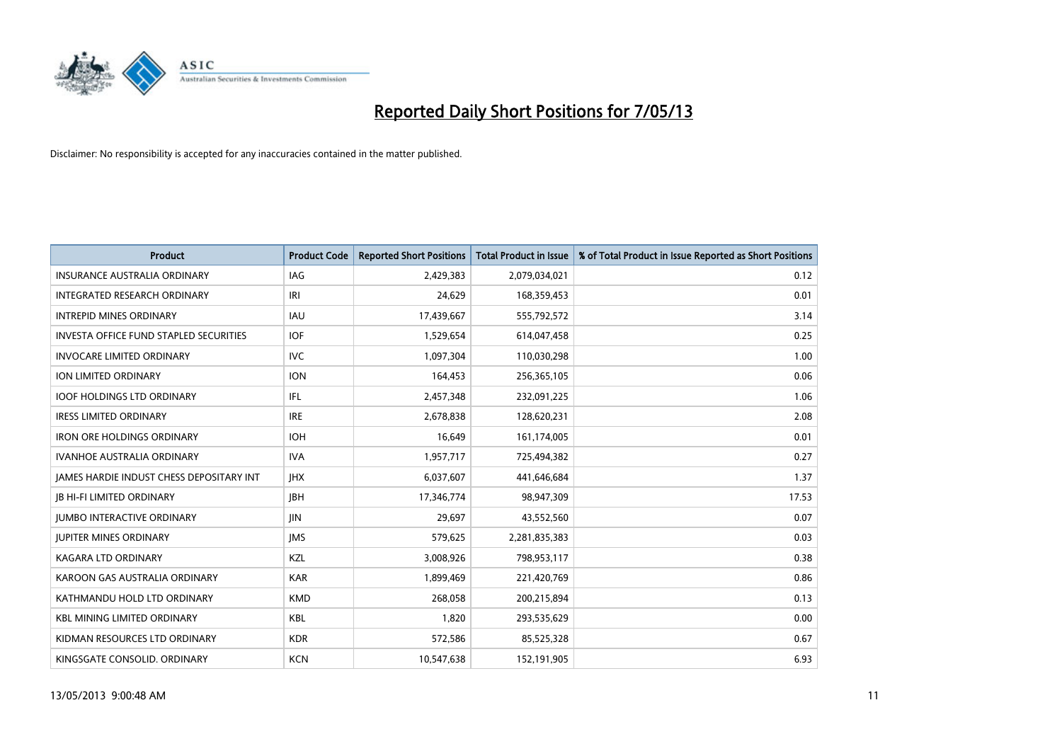

| <b>Product</b>                                | <b>Product Code</b> | <b>Reported Short Positions</b> | <b>Total Product in Issue</b> | % of Total Product in Issue Reported as Short Positions |
|-----------------------------------------------|---------------------|---------------------------------|-------------------------------|---------------------------------------------------------|
| <b>INSURANCE AUSTRALIA ORDINARY</b>           | <b>IAG</b>          | 2,429,383                       | 2,079,034,021                 | 0.12                                                    |
| INTEGRATED RESEARCH ORDINARY                  | IRI                 | 24,629                          | 168,359,453                   | 0.01                                                    |
| <b>INTREPID MINES ORDINARY</b>                | <b>IAU</b>          | 17,439,667                      | 555,792,572                   | 3.14                                                    |
| <b>INVESTA OFFICE FUND STAPLED SECURITIES</b> | <b>IOF</b>          | 1,529,654                       | 614,047,458                   | 0.25                                                    |
| <b>INVOCARE LIMITED ORDINARY</b>              | <b>IVC</b>          | 1,097,304                       | 110,030,298                   | 1.00                                                    |
| ION LIMITED ORDINARY                          | <b>ION</b>          | 164,453                         | 256,365,105                   | 0.06                                                    |
| <b>IOOF HOLDINGS LTD ORDINARY</b>             | IFL                 | 2,457,348                       | 232,091,225                   | 1.06                                                    |
| <b>IRESS LIMITED ORDINARY</b>                 | <b>IRE</b>          | 2,678,838                       | 128,620,231                   | 2.08                                                    |
| <b>IRON ORE HOLDINGS ORDINARY</b>             | <b>IOH</b>          | 16,649                          | 161,174,005                   | 0.01                                                    |
| <b>IVANHOE AUSTRALIA ORDINARY</b>             | <b>IVA</b>          | 1,957,717                       | 725,494,382                   | 0.27                                                    |
| JAMES HARDIE INDUST CHESS DEPOSITARY INT      | <b>IHX</b>          | 6,037,607                       | 441,646,684                   | 1.37                                                    |
| <b>JB HI-FI LIMITED ORDINARY</b>              | <b>JBH</b>          | 17,346,774                      | 98,947,309                    | 17.53                                                   |
| <b>JUMBO INTERACTIVE ORDINARY</b>             | JIN                 | 29,697                          | 43,552,560                    | 0.07                                                    |
| <b>JUPITER MINES ORDINARY</b>                 | <b>IMS</b>          | 579,625                         | 2,281,835,383                 | 0.03                                                    |
| <b>KAGARA LTD ORDINARY</b>                    | KZL                 | 3,008,926                       | 798,953,117                   | 0.38                                                    |
| KAROON GAS AUSTRALIA ORDINARY                 | <b>KAR</b>          | 1,899,469                       | 221,420,769                   | 0.86                                                    |
| KATHMANDU HOLD LTD ORDINARY                   | <b>KMD</b>          | 268,058                         | 200,215,894                   | 0.13                                                    |
| <b>KBL MINING LIMITED ORDINARY</b>            | <b>KBL</b>          | 1,820                           | 293,535,629                   | 0.00                                                    |
| KIDMAN RESOURCES LTD ORDINARY                 | <b>KDR</b>          | 572,586                         | 85,525,328                    | 0.67                                                    |
| KINGSGATE CONSOLID. ORDINARY                  | <b>KCN</b>          | 10,547,638                      | 152,191,905                   | 6.93                                                    |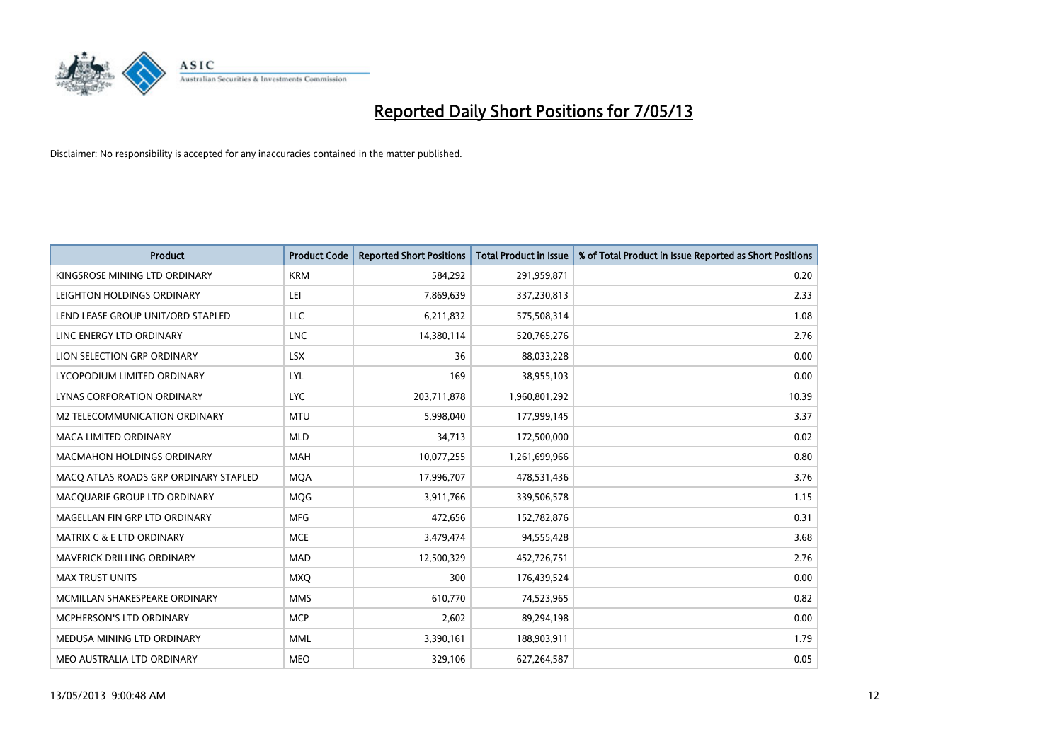

| <b>Product</b>                        | <b>Product Code</b> | <b>Reported Short Positions</b> | <b>Total Product in Issue</b> | % of Total Product in Issue Reported as Short Positions |
|---------------------------------------|---------------------|---------------------------------|-------------------------------|---------------------------------------------------------|
| KINGSROSE MINING LTD ORDINARY         | <b>KRM</b>          | 584,292                         | 291,959,871                   | 0.20                                                    |
| LEIGHTON HOLDINGS ORDINARY            | LEI                 | 7,869,639                       | 337,230,813                   | 2.33                                                    |
| LEND LEASE GROUP UNIT/ORD STAPLED     | <b>LLC</b>          | 6,211,832                       | 575,508,314                   | 1.08                                                    |
| LINC ENERGY LTD ORDINARY              | LNC                 | 14,380,114                      | 520,765,276                   | 2.76                                                    |
| LION SELECTION GRP ORDINARY           | <b>LSX</b>          | 36                              | 88,033,228                    | 0.00                                                    |
| LYCOPODIUM LIMITED ORDINARY           | LYL                 | 169                             | 38,955,103                    | 0.00                                                    |
| LYNAS CORPORATION ORDINARY            | <b>LYC</b>          | 203,711,878                     | 1,960,801,292                 | 10.39                                                   |
| M2 TELECOMMUNICATION ORDINARY         | <b>MTU</b>          | 5,998,040                       | 177,999,145                   | 3.37                                                    |
| <b>MACA LIMITED ORDINARY</b>          | <b>MLD</b>          | 34,713                          | 172,500,000                   | 0.02                                                    |
| <b>MACMAHON HOLDINGS ORDINARY</b>     | <b>MAH</b>          | 10,077,255                      | 1,261,699,966                 | 0.80                                                    |
| MACO ATLAS ROADS GRP ORDINARY STAPLED | <b>MOA</b>          | 17,996,707                      | 478,531,436                   | 3.76                                                    |
| MACQUARIE GROUP LTD ORDINARY          | MQG                 | 3,911,766                       | 339,506,578                   | 1.15                                                    |
| MAGELLAN FIN GRP LTD ORDINARY         | <b>MFG</b>          | 472,656                         | 152,782,876                   | 0.31                                                    |
| <b>MATRIX C &amp; E LTD ORDINARY</b>  | <b>MCE</b>          | 3,479,474                       | 94,555,428                    | 3.68                                                    |
| <b>MAVERICK DRILLING ORDINARY</b>     | <b>MAD</b>          | 12,500,329                      | 452,726,751                   | 2.76                                                    |
| <b>MAX TRUST UNITS</b>                | <b>MXQ</b>          | 300                             | 176,439,524                   | 0.00                                                    |
| MCMILLAN SHAKESPEARE ORDINARY         | <b>MMS</b>          | 610,770                         | 74,523,965                    | 0.82                                                    |
| MCPHERSON'S LTD ORDINARY              | <b>MCP</b>          | 2,602                           | 89,294,198                    | 0.00                                                    |
| MEDUSA MINING LTD ORDINARY            | <b>MML</b>          | 3,390,161                       | 188,903,911                   | 1.79                                                    |
| MEO AUSTRALIA LTD ORDINARY            | <b>MEO</b>          | 329,106                         | 627,264,587                   | 0.05                                                    |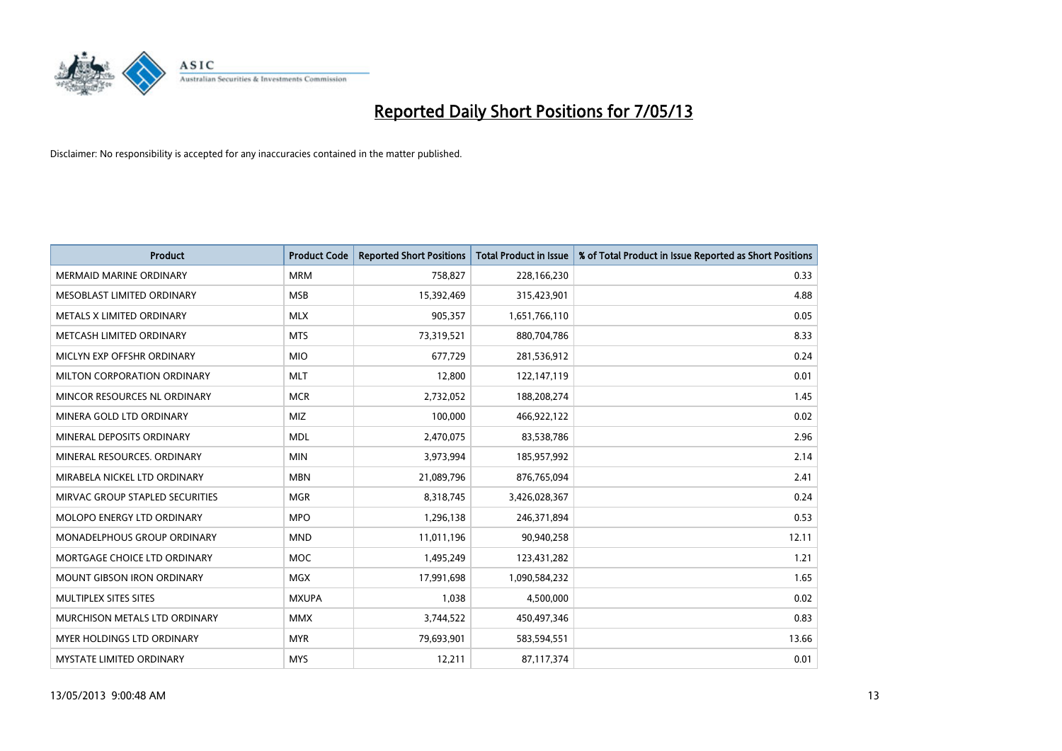

| <b>Product</b>                  | <b>Product Code</b> | <b>Reported Short Positions</b> | <b>Total Product in Issue</b> | % of Total Product in Issue Reported as Short Positions |
|---------------------------------|---------------------|---------------------------------|-------------------------------|---------------------------------------------------------|
| <b>MERMAID MARINE ORDINARY</b>  | <b>MRM</b>          | 758,827                         | 228,166,230                   | 0.33                                                    |
| MESOBLAST LIMITED ORDINARY      | <b>MSB</b>          | 15,392,469                      | 315,423,901                   | 4.88                                                    |
| METALS X LIMITED ORDINARY       | <b>MLX</b>          | 905,357                         | 1,651,766,110                 | 0.05                                                    |
| METCASH LIMITED ORDINARY        | <b>MTS</b>          | 73,319,521                      | 880,704,786                   | 8.33                                                    |
| MICLYN EXP OFFSHR ORDINARY      | <b>MIO</b>          | 677,729                         | 281,536,912                   | 0.24                                                    |
| MILTON CORPORATION ORDINARY     | <b>MLT</b>          | 12,800                          | 122,147,119                   | 0.01                                                    |
| MINCOR RESOURCES NL ORDINARY    | <b>MCR</b>          | 2,732,052                       | 188,208,274                   | 1.45                                                    |
| MINERA GOLD LTD ORDINARY        | <b>MIZ</b>          | 100,000                         | 466,922,122                   | 0.02                                                    |
| MINERAL DEPOSITS ORDINARY       | <b>MDL</b>          | 2,470,075                       | 83,538,786                    | 2.96                                                    |
| MINERAL RESOURCES, ORDINARY     | <b>MIN</b>          | 3,973,994                       | 185,957,992                   | 2.14                                                    |
| MIRABELA NICKEL LTD ORDINARY    | <b>MBN</b>          | 21,089,796                      | 876,765,094                   | 2.41                                                    |
| MIRVAC GROUP STAPLED SECURITIES | <b>MGR</b>          | 8,318,745                       | 3,426,028,367                 | 0.24                                                    |
| MOLOPO ENERGY LTD ORDINARY      | <b>MPO</b>          | 1,296,138                       | 246,371,894                   | 0.53                                                    |
| MONADELPHOUS GROUP ORDINARY     | <b>MND</b>          | 11,011,196                      | 90,940,258                    | 12.11                                                   |
| MORTGAGE CHOICE LTD ORDINARY    | <b>MOC</b>          | 1,495,249                       | 123,431,282                   | 1.21                                                    |
| MOUNT GIBSON IRON ORDINARY      | <b>MGX</b>          | 17,991,698                      | 1,090,584,232                 | 1.65                                                    |
| MULTIPLEX SITES SITES           | <b>MXUPA</b>        | 1,038                           | 4,500,000                     | 0.02                                                    |
| MURCHISON METALS LTD ORDINARY   | <b>MMX</b>          | 3,744,522                       | 450,497,346                   | 0.83                                                    |
| MYER HOLDINGS LTD ORDINARY      | <b>MYR</b>          | 79,693,901                      | 583,594,551                   | 13.66                                                   |
| MYSTATE LIMITED ORDINARY        | <b>MYS</b>          | 12,211                          | 87,117,374                    | 0.01                                                    |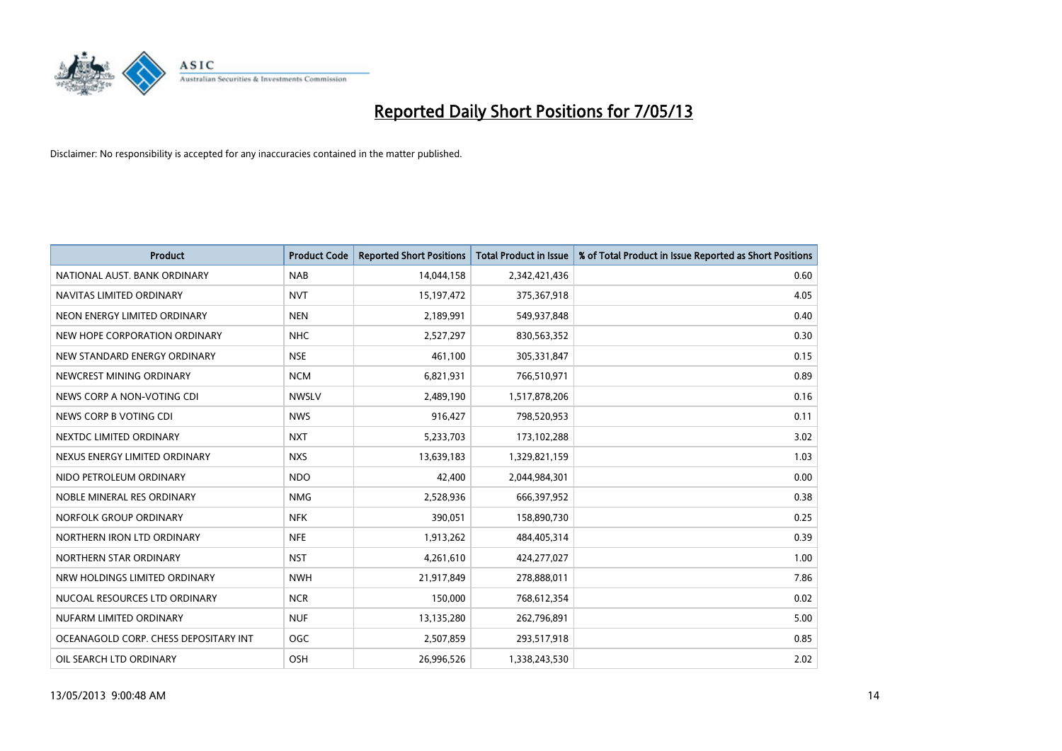

| <b>Product</b>                        | <b>Product Code</b> | <b>Reported Short Positions</b> | <b>Total Product in Issue</b> | % of Total Product in Issue Reported as Short Positions |
|---------------------------------------|---------------------|---------------------------------|-------------------------------|---------------------------------------------------------|
| NATIONAL AUST. BANK ORDINARY          | <b>NAB</b>          | 14,044,158                      | 2,342,421,436                 | 0.60                                                    |
| NAVITAS LIMITED ORDINARY              | <b>NVT</b>          | 15, 197, 472                    | 375,367,918                   | 4.05                                                    |
| NEON ENERGY LIMITED ORDINARY          | <b>NEN</b>          | 2,189,991                       | 549,937,848                   | 0.40                                                    |
| NEW HOPE CORPORATION ORDINARY         | <b>NHC</b>          | 2,527,297                       | 830,563,352                   | 0.30                                                    |
| NEW STANDARD ENERGY ORDINARY          | <b>NSE</b>          | 461,100                         | 305,331,847                   | 0.15                                                    |
| NEWCREST MINING ORDINARY              | <b>NCM</b>          | 6,821,931                       | 766,510,971                   | 0.89                                                    |
| NEWS CORP A NON-VOTING CDI            | <b>NWSLV</b>        | 2,489,190                       | 1,517,878,206                 | 0.16                                                    |
| NEWS CORP B VOTING CDI                | <b>NWS</b>          | 916,427                         | 798,520,953                   | 0.11                                                    |
| NEXTDC LIMITED ORDINARY               | <b>NXT</b>          | 5,233,703                       | 173,102,288                   | 3.02                                                    |
| NEXUS ENERGY LIMITED ORDINARY         | <b>NXS</b>          | 13,639,183                      | 1,329,821,159                 | 1.03                                                    |
| NIDO PETROLEUM ORDINARY               | <b>NDO</b>          | 42,400                          | 2,044,984,301                 | 0.00                                                    |
| NOBLE MINERAL RES ORDINARY            | <b>NMG</b>          | 2,528,936                       | 666,397,952                   | 0.38                                                    |
| NORFOLK GROUP ORDINARY                | <b>NFK</b>          | 390,051                         | 158,890,730                   | 0.25                                                    |
| NORTHERN IRON LTD ORDINARY            | <b>NFE</b>          | 1,913,262                       | 484,405,314                   | 0.39                                                    |
| NORTHERN STAR ORDINARY                | <b>NST</b>          | 4,261,610                       | 424,277,027                   | 1.00                                                    |
| NRW HOLDINGS LIMITED ORDINARY         | <b>NWH</b>          | 21,917,849                      | 278,888,011                   | 7.86                                                    |
| NUCOAL RESOURCES LTD ORDINARY         | <b>NCR</b>          | 150,000                         | 768,612,354                   | 0.02                                                    |
| NUFARM LIMITED ORDINARY               | <b>NUF</b>          | 13,135,280                      | 262,796,891                   | 5.00                                                    |
| OCEANAGOLD CORP. CHESS DEPOSITARY INT | <b>OGC</b>          | 2,507,859                       | 293,517,918                   | 0.85                                                    |
| OIL SEARCH LTD ORDINARY               | OSH                 | 26,996,526                      | 1,338,243,530                 | 2.02                                                    |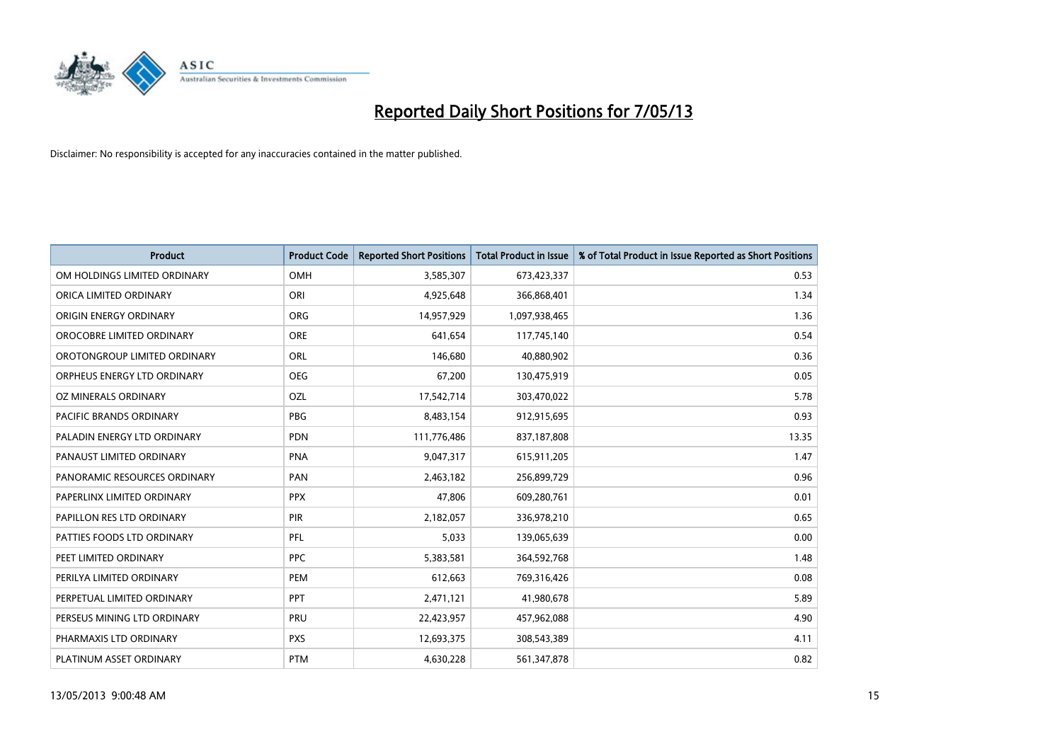

| <b>Product</b>               | <b>Product Code</b> | <b>Reported Short Positions</b> | <b>Total Product in Issue</b> | % of Total Product in Issue Reported as Short Positions |
|------------------------------|---------------------|---------------------------------|-------------------------------|---------------------------------------------------------|
| OM HOLDINGS LIMITED ORDINARY | <b>OMH</b>          | 3,585,307                       | 673,423,337                   | 0.53                                                    |
| ORICA LIMITED ORDINARY       | ORI                 | 4,925,648                       | 366,868,401                   | 1.34                                                    |
| ORIGIN ENERGY ORDINARY       | <b>ORG</b>          | 14,957,929                      | 1,097,938,465                 | 1.36                                                    |
| OROCOBRE LIMITED ORDINARY    | <b>ORE</b>          | 641,654                         | 117,745,140                   | 0.54                                                    |
| OROTONGROUP LIMITED ORDINARY | ORL                 | 146,680                         | 40,880,902                    | 0.36                                                    |
| ORPHEUS ENERGY LTD ORDINARY  | <b>OEG</b>          | 67,200                          | 130,475,919                   | 0.05                                                    |
| OZ MINERALS ORDINARY         | OZL                 | 17,542,714                      | 303,470,022                   | 5.78                                                    |
| PACIFIC BRANDS ORDINARY      | <b>PBG</b>          | 8,483,154                       | 912,915,695                   | 0.93                                                    |
| PALADIN ENERGY LTD ORDINARY  | <b>PDN</b>          | 111,776,486                     | 837,187,808                   | 13.35                                                   |
| PANAUST LIMITED ORDINARY     | <b>PNA</b>          | 9,047,317                       | 615,911,205                   | 1.47                                                    |
| PANORAMIC RESOURCES ORDINARY | PAN                 | 2,463,182                       | 256,899,729                   | 0.96                                                    |
| PAPERLINX LIMITED ORDINARY   | <b>PPX</b>          | 47,806                          | 609,280,761                   | 0.01                                                    |
| PAPILLON RES LTD ORDINARY    | PIR                 | 2,182,057                       | 336,978,210                   | 0.65                                                    |
| PATTIES FOODS LTD ORDINARY   | PFL                 | 5,033                           | 139,065,639                   | 0.00                                                    |
| PEET LIMITED ORDINARY        | <b>PPC</b>          | 5,383,581                       | 364,592,768                   | 1.48                                                    |
| PERILYA LIMITED ORDINARY     | PEM                 | 612,663                         | 769,316,426                   | 0.08                                                    |
| PERPETUAL LIMITED ORDINARY   | <b>PPT</b>          | 2,471,121                       | 41,980,678                    | 5.89                                                    |
| PERSEUS MINING LTD ORDINARY  | <b>PRU</b>          | 22,423,957                      | 457,962,088                   | 4.90                                                    |
| PHARMAXIS LTD ORDINARY       | <b>PXS</b>          | 12,693,375                      | 308,543,389                   | 4.11                                                    |
| PLATINUM ASSET ORDINARY      | <b>PTM</b>          | 4,630,228                       | 561,347,878                   | 0.82                                                    |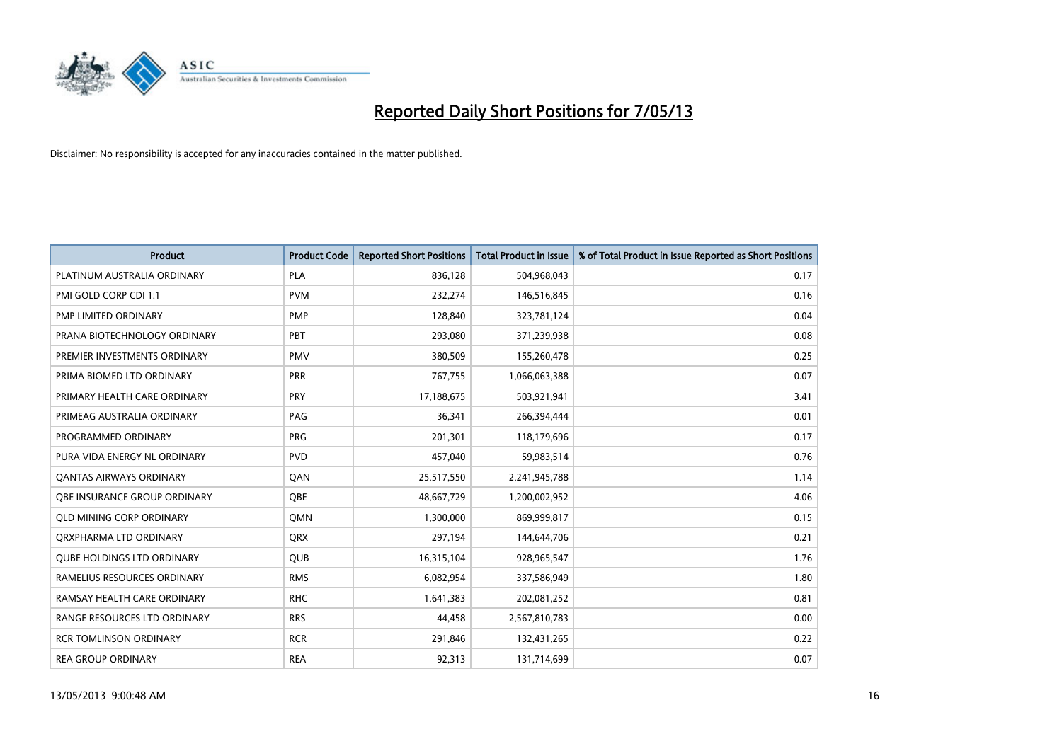

| <b>Product</b>                      | <b>Product Code</b> | <b>Reported Short Positions</b> | <b>Total Product in Issue</b> | % of Total Product in Issue Reported as Short Positions |
|-------------------------------------|---------------------|---------------------------------|-------------------------------|---------------------------------------------------------|
| PLATINUM AUSTRALIA ORDINARY         | <b>PLA</b>          | 836,128                         | 504,968,043                   | 0.17                                                    |
| PMI GOLD CORP CDI 1:1               | <b>PVM</b>          | 232,274                         | 146,516,845                   | 0.16                                                    |
| PMP LIMITED ORDINARY                | <b>PMP</b>          | 128,840                         | 323,781,124                   | 0.04                                                    |
| PRANA BIOTECHNOLOGY ORDINARY        | PBT                 | 293,080                         | 371,239,938                   | 0.08                                                    |
| PREMIER INVESTMENTS ORDINARY        | <b>PMV</b>          | 380,509                         | 155,260,478                   | 0.25                                                    |
| PRIMA BIOMED LTD ORDINARY           | <b>PRR</b>          | 767,755                         | 1,066,063,388                 | 0.07                                                    |
| PRIMARY HEALTH CARE ORDINARY        | <b>PRY</b>          | 17,188,675                      | 503,921,941                   | 3.41                                                    |
| PRIMEAG AUSTRALIA ORDINARY          | PAG                 | 36,341                          | 266,394,444                   | 0.01                                                    |
| PROGRAMMED ORDINARY                 | <b>PRG</b>          | 201,301                         | 118,179,696                   | 0.17                                                    |
| PURA VIDA ENERGY NL ORDINARY        | <b>PVD</b>          | 457,040                         | 59,983,514                    | 0.76                                                    |
| <b>QANTAS AIRWAYS ORDINARY</b>      | QAN                 | 25,517,550                      | 2,241,945,788                 | 1.14                                                    |
| <b>OBE INSURANCE GROUP ORDINARY</b> | <b>OBE</b>          | 48,667,729                      | 1,200,002,952                 | 4.06                                                    |
| <b>QLD MINING CORP ORDINARY</b>     | <b>OMN</b>          | 1,300,000                       | 869,999,817                   | 0.15                                                    |
| ORXPHARMA LTD ORDINARY              | <b>QRX</b>          | 297,194                         | 144,644,706                   | 0.21                                                    |
| <b>QUBE HOLDINGS LTD ORDINARY</b>   | QUB                 | 16,315,104                      | 928,965,547                   | 1.76                                                    |
| RAMELIUS RESOURCES ORDINARY         | <b>RMS</b>          | 6,082,954                       | 337,586,949                   | 1.80                                                    |
| RAMSAY HEALTH CARE ORDINARY         | <b>RHC</b>          | 1,641,383                       | 202,081,252                   | 0.81                                                    |
| RANGE RESOURCES LTD ORDINARY        | <b>RRS</b>          | 44,458                          | 2,567,810,783                 | 0.00                                                    |
| <b>RCR TOMLINSON ORDINARY</b>       | <b>RCR</b>          | 291,846                         | 132,431,265                   | 0.22                                                    |
| <b>REA GROUP ORDINARY</b>           | <b>REA</b>          | 92,313                          | 131,714,699                   | 0.07                                                    |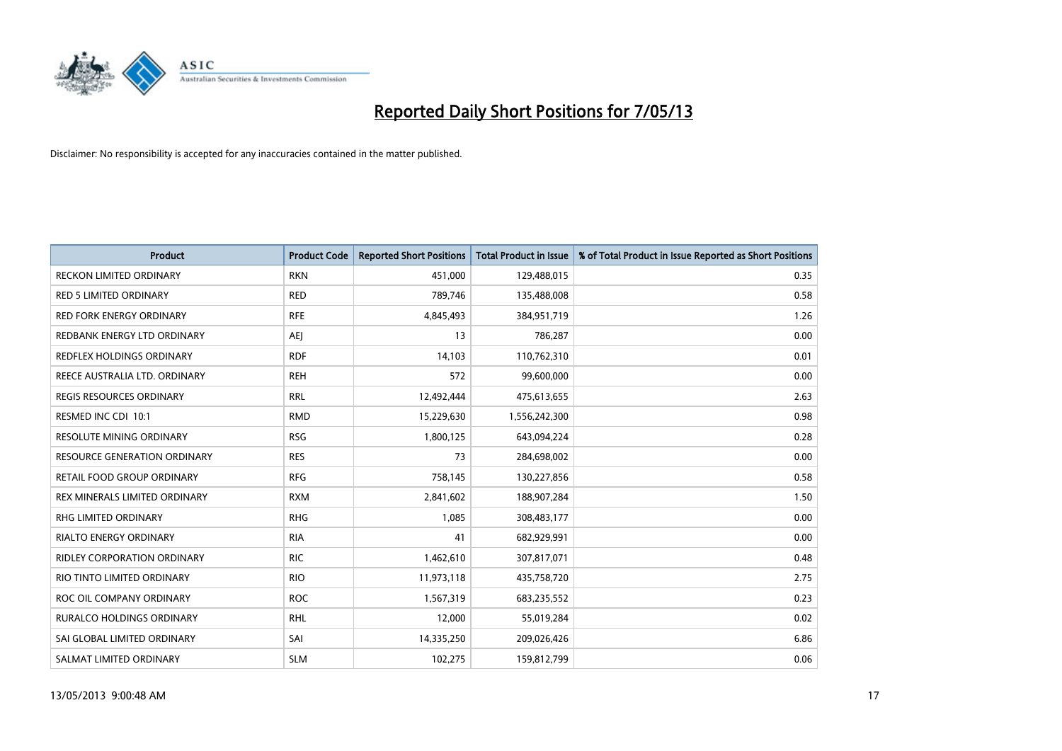

| <b>Product</b>                      | <b>Product Code</b> | <b>Reported Short Positions</b> | <b>Total Product in Issue</b> | % of Total Product in Issue Reported as Short Positions |
|-------------------------------------|---------------------|---------------------------------|-------------------------------|---------------------------------------------------------|
| <b>RECKON LIMITED ORDINARY</b>      | <b>RKN</b>          | 451,000                         | 129,488,015                   | 0.35                                                    |
| <b>RED 5 LIMITED ORDINARY</b>       | <b>RED</b>          | 789,746                         | 135,488,008                   | 0.58                                                    |
| <b>RED FORK ENERGY ORDINARY</b>     | <b>RFE</b>          | 4,845,493                       | 384,951,719                   | 1.26                                                    |
| REDBANK ENERGY LTD ORDINARY         | <b>AEI</b>          | 13                              | 786,287                       | 0.00                                                    |
| <b>REDFLEX HOLDINGS ORDINARY</b>    | <b>RDF</b>          | 14,103                          | 110,762,310                   | 0.01                                                    |
| REECE AUSTRALIA LTD. ORDINARY       | <b>REH</b>          | 572                             | 99,600,000                    | 0.00                                                    |
| <b>REGIS RESOURCES ORDINARY</b>     | <b>RRL</b>          | 12,492,444                      | 475,613,655                   | 2.63                                                    |
| RESMED INC CDI 10:1                 | <b>RMD</b>          | 15,229,630                      | 1,556,242,300                 | 0.98                                                    |
| <b>RESOLUTE MINING ORDINARY</b>     | <b>RSG</b>          | 1,800,125                       | 643,094,224                   | 0.28                                                    |
| <b>RESOURCE GENERATION ORDINARY</b> | <b>RES</b>          | 73                              | 284,698,002                   | 0.00                                                    |
| RETAIL FOOD GROUP ORDINARY          | <b>RFG</b>          | 758,145                         | 130,227,856                   | 0.58                                                    |
| REX MINERALS LIMITED ORDINARY       | <b>RXM</b>          | 2,841,602                       | 188,907,284                   | 1.50                                                    |
| RHG LIMITED ORDINARY                | <b>RHG</b>          | 1,085                           | 308,483,177                   | 0.00                                                    |
| <b>RIALTO ENERGY ORDINARY</b>       | <b>RIA</b>          | 41                              | 682,929,991                   | 0.00                                                    |
| <b>RIDLEY CORPORATION ORDINARY</b>  | <b>RIC</b>          | 1,462,610                       | 307,817,071                   | 0.48                                                    |
| RIO TINTO LIMITED ORDINARY          | <b>RIO</b>          | 11,973,118                      | 435,758,720                   | 2.75                                                    |
| ROC OIL COMPANY ORDINARY            | <b>ROC</b>          | 1,567,319                       | 683,235,552                   | 0.23                                                    |
| RURALCO HOLDINGS ORDINARY           | <b>RHL</b>          | 12,000                          | 55,019,284                    | 0.02                                                    |
| SAI GLOBAL LIMITED ORDINARY         | SAI                 | 14,335,250                      | 209,026,426                   | 6.86                                                    |
| SALMAT LIMITED ORDINARY             | <b>SLM</b>          | 102,275                         | 159,812,799                   | 0.06                                                    |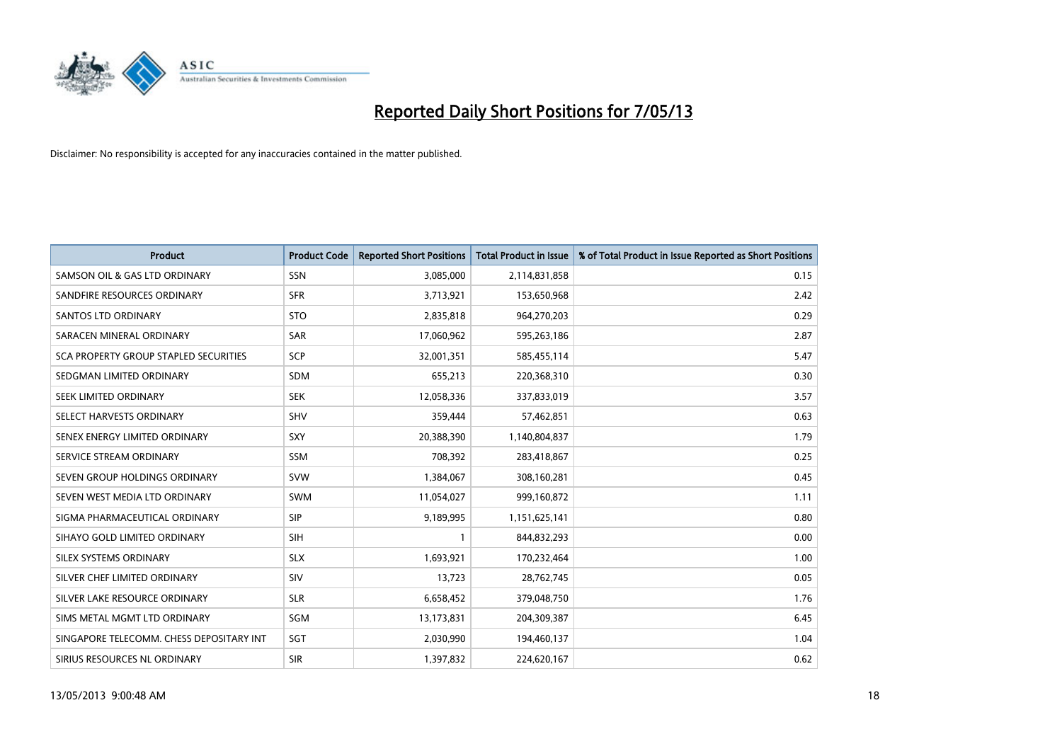

| <b>Product</b>                           | <b>Product Code</b> | <b>Reported Short Positions</b> | <b>Total Product in Issue</b> | % of Total Product in Issue Reported as Short Positions |
|------------------------------------------|---------------------|---------------------------------|-------------------------------|---------------------------------------------------------|
| SAMSON OIL & GAS LTD ORDINARY            | SSN                 | 3,085,000                       | 2,114,831,858                 | 0.15                                                    |
| SANDFIRE RESOURCES ORDINARY              | <b>SFR</b>          | 3,713,921                       | 153,650,968                   | 2.42                                                    |
| SANTOS LTD ORDINARY                      | <b>STO</b>          | 2,835,818                       | 964,270,203                   | 0.29                                                    |
| SARACEN MINERAL ORDINARY                 | <b>SAR</b>          | 17,060,962                      | 595,263,186                   | 2.87                                                    |
| SCA PROPERTY GROUP STAPLED SECURITIES    | SCP                 | 32,001,351                      | 585,455,114                   | 5.47                                                    |
| SEDGMAN LIMITED ORDINARY                 | <b>SDM</b>          | 655,213                         | 220,368,310                   | 0.30                                                    |
| SEEK LIMITED ORDINARY                    | <b>SEK</b>          | 12,058,336                      | 337,833,019                   | 3.57                                                    |
| SELECT HARVESTS ORDINARY                 | SHV                 | 359,444                         | 57,462,851                    | 0.63                                                    |
| SENEX ENERGY LIMITED ORDINARY            | SXY                 | 20,388,390                      | 1,140,804,837                 | 1.79                                                    |
| SERVICE STREAM ORDINARY                  | <b>SSM</b>          | 708,392                         | 283,418,867                   | 0.25                                                    |
| SEVEN GROUP HOLDINGS ORDINARY            | <b>SVW</b>          | 1,384,067                       | 308,160,281                   | 0.45                                                    |
| SEVEN WEST MEDIA LTD ORDINARY            | <b>SWM</b>          | 11,054,027                      | 999,160,872                   | 1.11                                                    |
| SIGMA PHARMACEUTICAL ORDINARY            | <b>SIP</b>          | 9,189,995                       | 1,151,625,141                 | 0.80                                                    |
| SIHAYO GOLD LIMITED ORDINARY             | SIH                 | 1                               | 844,832,293                   | 0.00                                                    |
| SILEX SYSTEMS ORDINARY                   | <b>SLX</b>          | 1,693,921                       | 170,232,464                   | 1.00                                                    |
| SILVER CHEF LIMITED ORDINARY             | SIV                 | 13,723                          | 28,762,745                    | 0.05                                                    |
| SILVER LAKE RESOURCE ORDINARY            | <b>SLR</b>          | 6,658,452                       | 379,048,750                   | 1.76                                                    |
| SIMS METAL MGMT LTD ORDINARY             | <b>SGM</b>          | 13,173,831                      | 204,309,387                   | 6.45                                                    |
| SINGAPORE TELECOMM. CHESS DEPOSITARY INT | SGT                 | 2,030,990                       | 194,460,137                   | 1.04                                                    |
| SIRIUS RESOURCES NL ORDINARY             | <b>SIR</b>          | 1,397,832                       | 224,620,167                   | 0.62                                                    |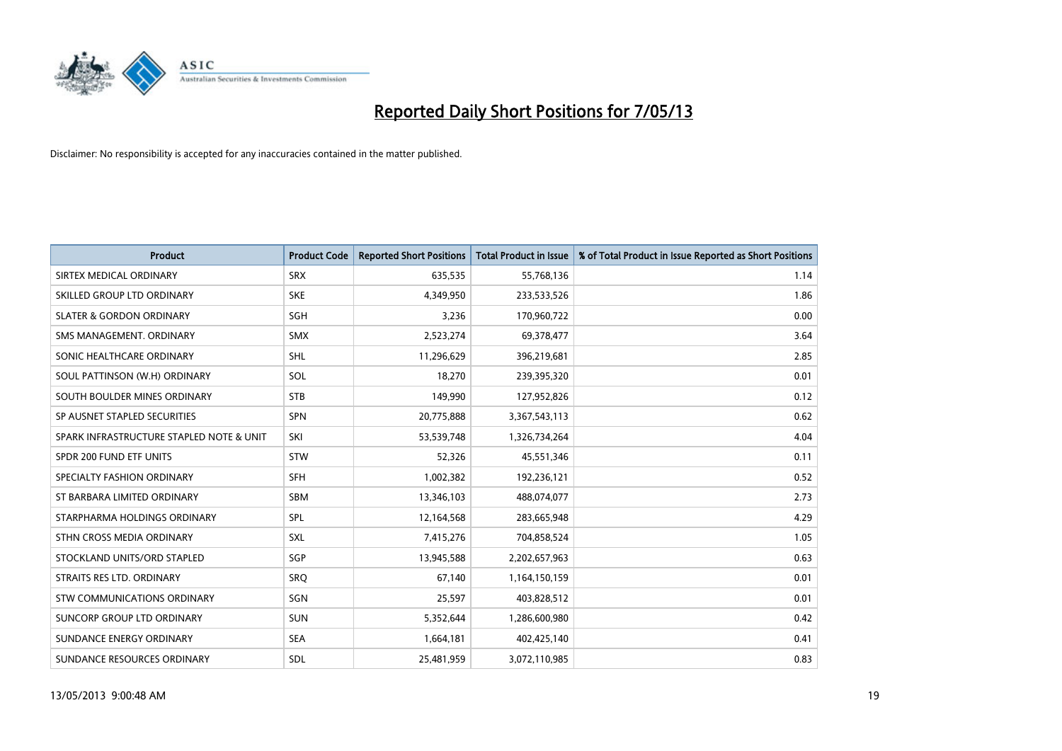

| <b>Product</b>                           | <b>Product Code</b> | <b>Reported Short Positions</b> | <b>Total Product in Issue</b> | % of Total Product in Issue Reported as Short Positions |
|------------------------------------------|---------------------|---------------------------------|-------------------------------|---------------------------------------------------------|
| SIRTEX MEDICAL ORDINARY                  | <b>SRX</b>          | 635,535                         | 55,768,136                    | 1.14                                                    |
| SKILLED GROUP LTD ORDINARY               | <b>SKE</b>          | 4,349,950                       | 233,533,526                   | 1.86                                                    |
| <b>SLATER &amp; GORDON ORDINARY</b>      | SGH                 | 3,236                           | 170,960,722                   | 0.00                                                    |
| SMS MANAGEMENT. ORDINARY                 | <b>SMX</b>          | 2,523,274                       | 69,378,477                    | 3.64                                                    |
| SONIC HEALTHCARE ORDINARY                | <b>SHL</b>          | 11,296,629                      | 396,219,681                   | 2.85                                                    |
| SOUL PATTINSON (W.H) ORDINARY            | SOL                 | 18,270                          | 239,395,320                   | 0.01                                                    |
| SOUTH BOULDER MINES ORDINARY             | <b>STB</b>          | 149,990                         | 127,952,826                   | 0.12                                                    |
| SP AUSNET STAPLED SECURITIES             | <b>SPN</b>          | 20,775,888                      | 3,367,543,113                 | 0.62                                                    |
| SPARK INFRASTRUCTURE STAPLED NOTE & UNIT | SKI                 | 53,539,748                      | 1,326,734,264                 | 4.04                                                    |
| SPDR 200 FUND ETF UNITS                  | <b>STW</b>          | 52,326                          | 45,551,346                    | 0.11                                                    |
| SPECIALTY FASHION ORDINARY               | <b>SFH</b>          | 1,002,382                       | 192,236,121                   | 0.52                                                    |
| ST BARBARA LIMITED ORDINARY              | <b>SBM</b>          | 13,346,103                      | 488,074,077                   | 2.73                                                    |
| STARPHARMA HOLDINGS ORDINARY             | SPL                 | 12,164,568                      | 283,665,948                   | 4.29                                                    |
| STHN CROSS MEDIA ORDINARY                | <b>SXL</b>          | 7,415,276                       | 704,858,524                   | 1.05                                                    |
| STOCKLAND UNITS/ORD STAPLED              | SGP                 | 13,945,588                      | 2,202,657,963                 | 0.63                                                    |
| STRAITS RES LTD. ORDINARY                | SRO                 | 67,140                          | 1,164,150,159                 | 0.01                                                    |
| STW COMMUNICATIONS ORDINARY              | SGN                 | 25,597                          | 403,828,512                   | 0.01                                                    |
| SUNCORP GROUP LTD ORDINARY               | <b>SUN</b>          | 5,352,644                       | 1,286,600,980                 | 0.42                                                    |
| SUNDANCE ENERGY ORDINARY                 | <b>SEA</b>          | 1,664,181                       | 402,425,140                   | 0.41                                                    |
| SUNDANCE RESOURCES ORDINARY              | SDL                 | 25,481,959                      | 3,072,110,985                 | 0.83                                                    |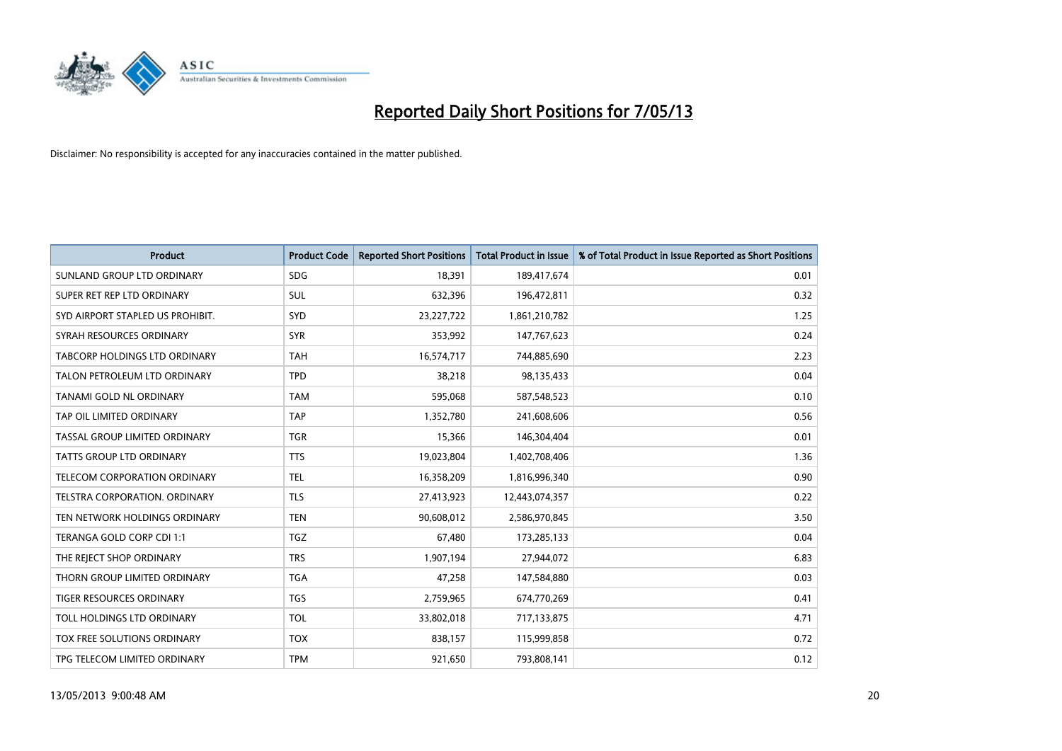

| <b>Product</b>                       | <b>Product Code</b> | <b>Reported Short Positions</b> | <b>Total Product in Issue</b> | % of Total Product in Issue Reported as Short Positions |
|--------------------------------------|---------------------|---------------------------------|-------------------------------|---------------------------------------------------------|
| SUNLAND GROUP LTD ORDINARY           | <b>SDG</b>          | 18,391                          | 189,417,674                   | 0.01                                                    |
| SUPER RET REP LTD ORDINARY           | SUL                 | 632,396                         | 196,472,811                   | 0.32                                                    |
| SYD AIRPORT STAPLED US PROHIBIT.     | SYD                 | 23, 227, 722                    | 1,861,210,782                 | 1.25                                                    |
| SYRAH RESOURCES ORDINARY             | <b>SYR</b>          | 353,992                         | 147,767,623                   | 0.24                                                    |
| TABCORP HOLDINGS LTD ORDINARY        | <b>TAH</b>          | 16,574,717                      | 744,885,690                   | 2.23                                                    |
| TALON PETROLEUM LTD ORDINARY         | <b>TPD</b>          | 38,218                          | 98,135,433                    | 0.04                                                    |
| TANAMI GOLD NL ORDINARY              | <b>TAM</b>          | 595,068                         | 587,548,523                   | 0.10                                                    |
| TAP OIL LIMITED ORDINARY             | <b>TAP</b>          | 1,352,780                       | 241,608,606                   | 0.56                                                    |
| TASSAL GROUP LIMITED ORDINARY        | <b>TGR</b>          | 15,366                          | 146,304,404                   | 0.01                                                    |
| <b>TATTS GROUP LTD ORDINARY</b>      | <b>TTS</b>          | 19,023,804                      | 1,402,708,406                 | 1.36                                                    |
| TELECOM CORPORATION ORDINARY         | <b>TEL</b>          | 16,358,209                      | 1,816,996,340                 | 0.90                                                    |
| <b>TELSTRA CORPORATION, ORDINARY</b> | <b>TLS</b>          | 27,413,923                      | 12,443,074,357                | 0.22                                                    |
| TEN NETWORK HOLDINGS ORDINARY        | <b>TEN</b>          | 90,608,012                      | 2,586,970,845                 | 3.50                                                    |
| TERANGA GOLD CORP CDI 1:1            | <b>TGZ</b>          | 67,480                          | 173,285,133                   | 0.04                                                    |
| THE REJECT SHOP ORDINARY             | <b>TRS</b>          | 1,907,194                       | 27,944,072                    | 6.83                                                    |
| THORN GROUP LIMITED ORDINARY         | <b>TGA</b>          | 47,258                          | 147,584,880                   | 0.03                                                    |
| TIGER RESOURCES ORDINARY             | <b>TGS</b>          | 2,759,965                       | 674,770,269                   | 0.41                                                    |
| TOLL HOLDINGS LTD ORDINARY           | <b>TOL</b>          | 33,802,018                      | 717,133,875                   | 4.71                                                    |
| TOX FREE SOLUTIONS ORDINARY          | <b>TOX</b>          | 838,157                         | 115,999,858                   | 0.72                                                    |
| TPG TELECOM LIMITED ORDINARY         | <b>TPM</b>          | 921,650                         | 793,808,141                   | 0.12                                                    |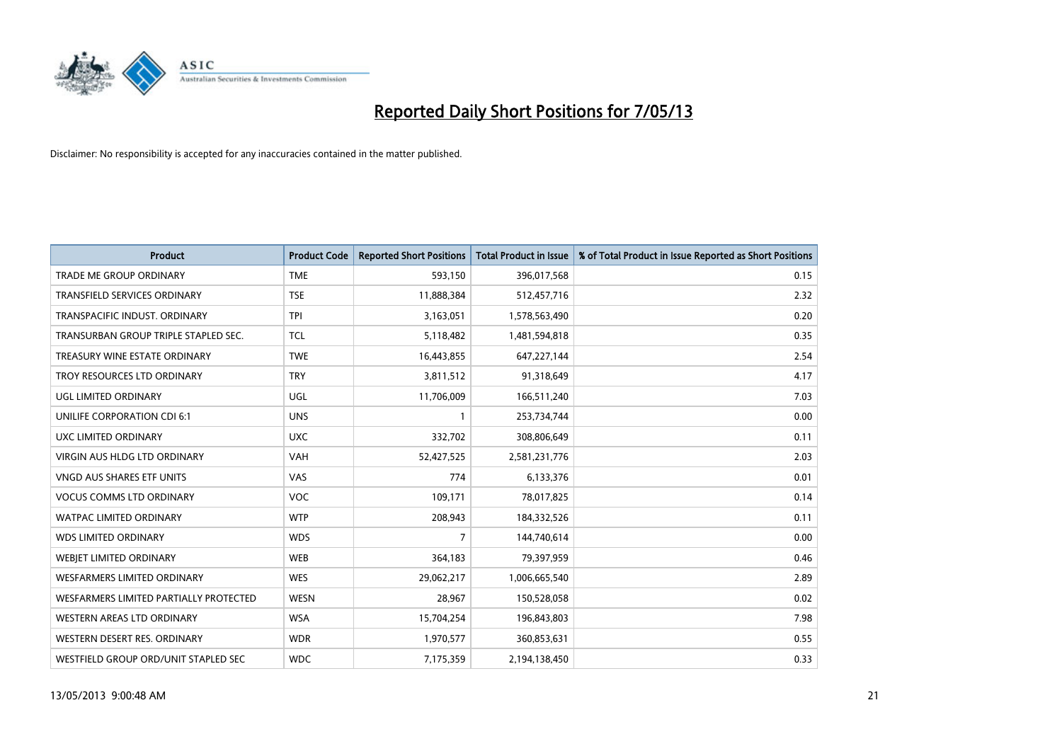

| <b>Product</b>                         | <b>Product Code</b> | <b>Reported Short Positions</b> | <b>Total Product in Issue</b> | % of Total Product in Issue Reported as Short Positions |
|----------------------------------------|---------------------|---------------------------------|-------------------------------|---------------------------------------------------------|
| <b>TRADE ME GROUP ORDINARY</b>         | <b>TME</b>          | 593,150                         | 396,017,568                   | 0.15                                                    |
| TRANSFIELD SERVICES ORDINARY           | <b>TSE</b>          | 11,888,384                      | 512,457,716                   | 2.32                                                    |
| TRANSPACIFIC INDUST, ORDINARY          | <b>TPI</b>          | 3,163,051                       | 1,578,563,490                 | 0.20                                                    |
| TRANSURBAN GROUP TRIPLE STAPLED SEC.   | <b>TCL</b>          | 5,118,482                       | 1,481,594,818                 | 0.35                                                    |
| TREASURY WINE ESTATE ORDINARY          | <b>TWE</b>          | 16,443,855                      | 647,227,144                   | 2.54                                                    |
| TROY RESOURCES LTD ORDINARY            | <b>TRY</b>          | 3,811,512                       | 91,318,649                    | 4.17                                                    |
| UGL LIMITED ORDINARY                   | UGL                 | 11,706,009                      | 166,511,240                   | 7.03                                                    |
| UNILIFE CORPORATION CDI 6:1            | <b>UNS</b>          | $\mathbf{1}$                    | 253,734,744                   | 0.00                                                    |
| <b>UXC LIMITED ORDINARY</b>            | <b>UXC</b>          | 332,702                         | 308,806,649                   | 0.11                                                    |
| VIRGIN AUS HLDG LTD ORDINARY           | <b>VAH</b>          | 52,427,525                      | 2,581,231,776                 | 2.03                                                    |
| VNGD AUS SHARES ETF UNITS              | VAS                 | 774                             | 6,133,376                     | 0.01                                                    |
| <b>VOCUS COMMS LTD ORDINARY</b>        | <b>VOC</b>          | 109,171                         | 78,017,825                    | 0.14                                                    |
| WATPAC LIMITED ORDINARY                | <b>WTP</b>          | 208,943                         | 184,332,526                   | 0.11                                                    |
| <b>WDS LIMITED ORDINARY</b>            | <b>WDS</b>          | $\overline{7}$                  | 144,740,614                   | 0.00                                                    |
| WEBJET LIMITED ORDINARY                | <b>WEB</b>          | 364,183                         | 79,397,959                    | 0.46                                                    |
| WESFARMERS LIMITED ORDINARY            | <b>WES</b>          | 29,062,217                      | 1,006,665,540                 | 2.89                                                    |
| WESFARMERS LIMITED PARTIALLY PROTECTED | <b>WESN</b>         | 28,967                          | 150,528,058                   | 0.02                                                    |
| WESTERN AREAS LTD ORDINARY             | <b>WSA</b>          | 15,704,254                      | 196,843,803                   | 7.98                                                    |
| WESTERN DESERT RES. ORDINARY           | <b>WDR</b>          | 1,970,577                       | 360,853,631                   | 0.55                                                    |
| WESTFIELD GROUP ORD/UNIT STAPLED SEC   | <b>WDC</b>          | 7,175,359                       | 2,194,138,450                 | 0.33                                                    |